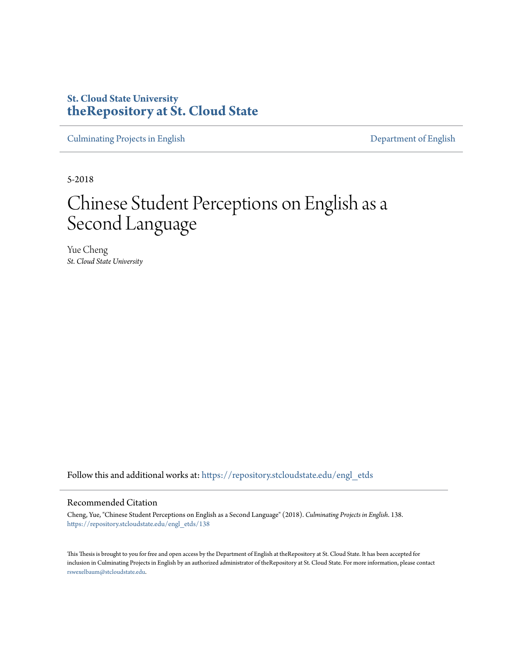# **St. Cloud State University [theRepository at St. Cloud State](https://repository.stcloudstate.edu?utm_source=repository.stcloudstate.edu%2Fengl_etds%2F138&utm_medium=PDF&utm_campaign=PDFCoverPages)**

[Culminating Projects in English](https://repository.stcloudstate.edu/engl_etds?utm_source=repository.stcloudstate.edu%2Fengl_etds%2F138&utm_medium=PDF&utm_campaign=PDFCoverPages) [Department of English](https://repository.stcloudstate.edu/engl?utm_source=repository.stcloudstate.edu%2Fengl_etds%2F138&utm_medium=PDF&utm_campaign=PDFCoverPages)

5-2018

# Chinese Student Perceptions on English as a Second Language

Yue Cheng *St. Cloud State University*

Follow this and additional works at: [https://repository.stcloudstate.edu/engl\\_etds](https://repository.stcloudstate.edu/engl_etds?utm_source=repository.stcloudstate.edu%2Fengl_etds%2F138&utm_medium=PDF&utm_campaign=PDFCoverPages)

#### Recommended Citation

Cheng, Yue, "Chinese Student Perceptions on English as a Second Language" (2018). *Culminating Projects in English*. 138. [https://repository.stcloudstate.edu/engl\\_etds/138](https://repository.stcloudstate.edu/engl_etds/138?utm_source=repository.stcloudstate.edu%2Fengl_etds%2F138&utm_medium=PDF&utm_campaign=PDFCoverPages)

This Thesis is brought to you for free and open access by the Department of English at theRepository at St. Cloud State. It has been accepted for inclusion in Culminating Projects in English by an authorized administrator of theRepository at St. Cloud State. For more information, please contact [rswexelbaum@stcloudstate.edu](mailto:rswexelbaum@stcloudstate.edu).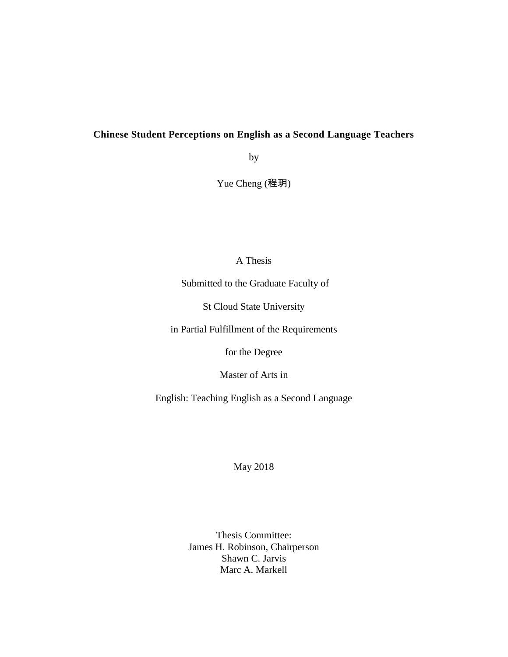# **Chinese Student Perceptions on English as a Second Language Teachers**

by

Yue Cheng (程玥)

## A Thesis

Submitted to the Graduate Faculty of

St Cloud State University

in Partial Fulfillment of the Requirements

for the Degree

Master of Arts in

English: Teaching English as a Second Language

May 2018

Thesis Committee: James H. Robinson, Chairperson Shawn C. Jarvis Marc A. Markell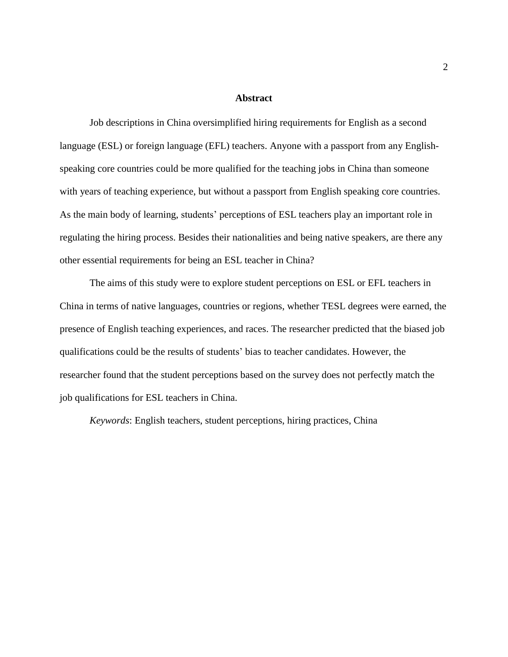#### **Abstract**

Job descriptions in China oversimplified hiring requirements for English as a second language (ESL) or foreign language (EFL) teachers. Anyone with a passport from any Englishspeaking core countries could be more qualified for the teaching jobs in China than someone with years of teaching experience, but without a passport from English speaking core countries. As the main body of learning, students' perceptions of ESL teachers play an important role in regulating the hiring process. Besides their nationalities and being native speakers, are there any other essential requirements for being an ESL teacher in China?

The aims of this study were to explore student perceptions on ESL or EFL teachers in China in terms of native languages, countries or regions, whether TESL degrees were earned, the presence of English teaching experiences, and races. The researcher predicted that the biased job qualifications could be the results of students' bias to teacher candidates. However, the researcher found that the student perceptions based on the survey does not perfectly match the job qualifications for ESL teachers in China.

*Keywords*: English teachers, student perceptions, hiring practices, China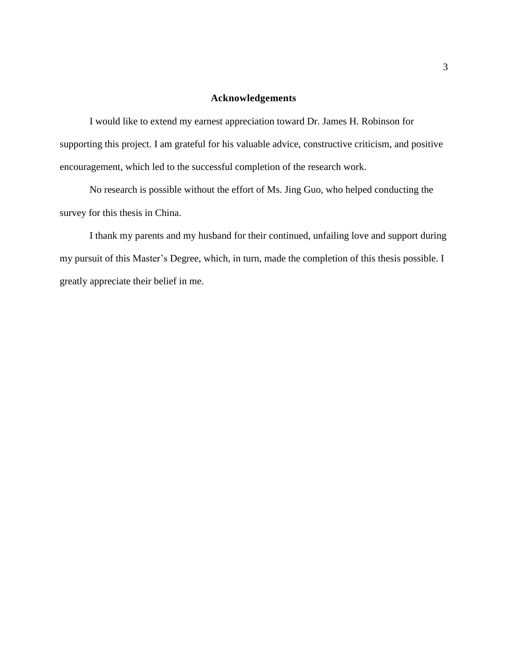#### **Acknowledgements**

I would like to extend my earnest appreciation toward Dr. James H. Robinson for supporting this project. I am grateful for his valuable advice, constructive criticism, and positive encouragement, which led to the successful completion of the research work.

No research is possible without the effort of Ms. Jing Guo, who helped conducting the survey for this thesis in China.

I thank my parents and my husband for their continued, unfailing love and support during my pursuit of this Master's Degree, which, in turn, made the completion of this thesis possible. I greatly appreciate their belief in me.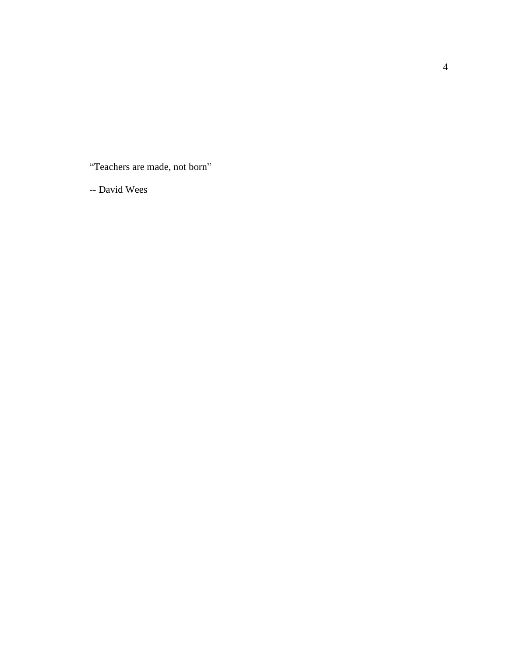"Teachers are made, not born"

-- David Wees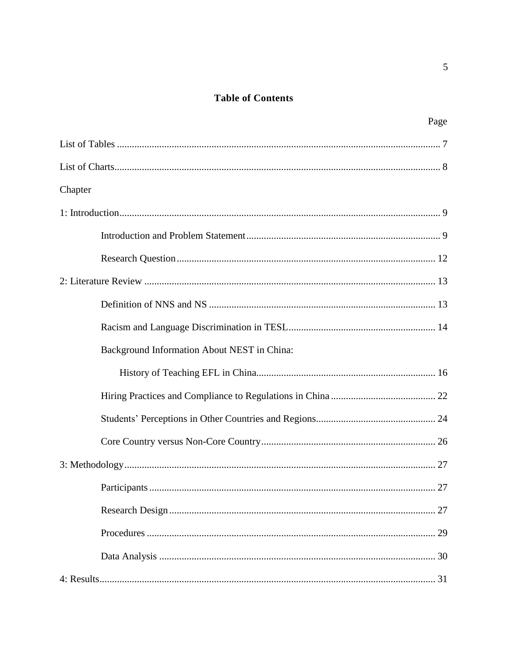# **Table of Contents**

| Page                                        |
|---------------------------------------------|
|                                             |
|                                             |
| Chapter                                     |
|                                             |
|                                             |
|                                             |
|                                             |
|                                             |
|                                             |
| Background Information About NEST in China: |
|                                             |
|                                             |
|                                             |
|                                             |
|                                             |
|                                             |
|                                             |
|                                             |
|                                             |
|                                             |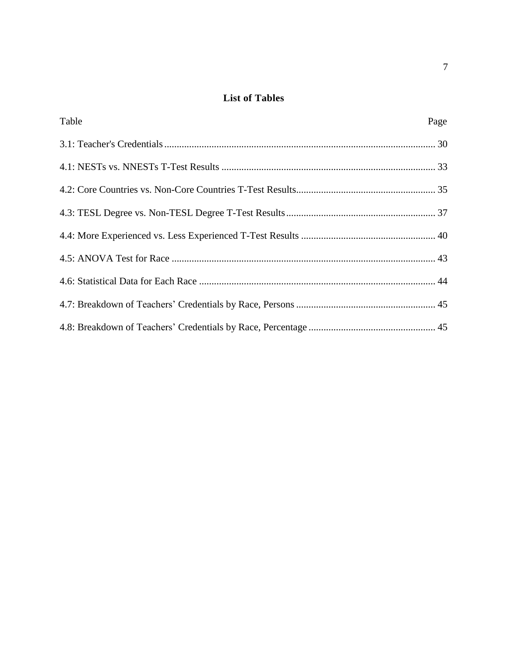# **List of Tables**

<span id="page-7-0"></span>

| Table | Page |
|-------|------|
|       |      |
|       |      |
|       |      |
|       |      |
|       |      |
|       |      |
|       |      |
|       |      |
|       |      |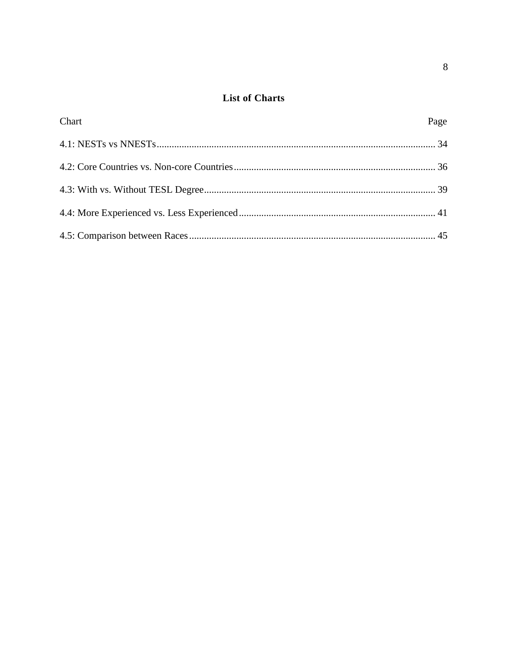# **List of Charts**

<span id="page-8-0"></span>

| Chart | Page |
|-------|------|
|       |      |
|       |      |
|       |      |
|       |      |
|       |      |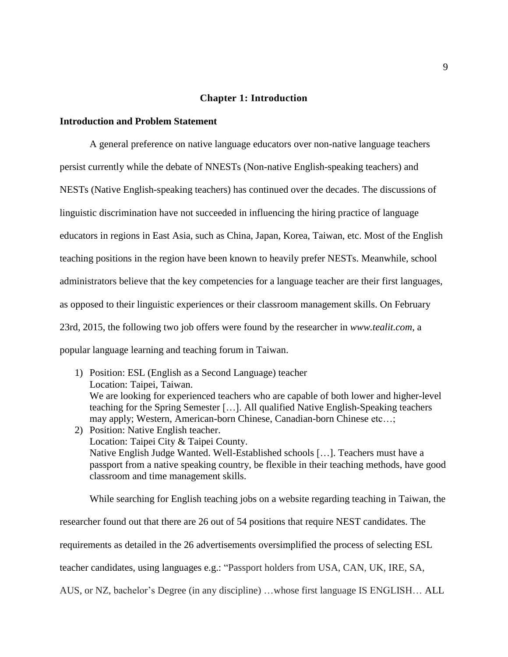#### **Chapter 1: Introduction**

#### <span id="page-9-1"></span><span id="page-9-0"></span>**Introduction and Problem Statement**

A general preference on native language educators over non-native language teachers persist currently while the debate of NNESTs (Non-native English-speaking teachers) and NESTs (Native English-speaking teachers) has continued over the decades. The discussions of linguistic discrimination have not succeeded in influencing the hiring practice of language educators in regions in East Asia, such as China, Japan, Korea, Taiwan, etc. Most of the English teaching positions in the region have been known to heavily prefer NESTs. Meanwhile, school administrators believe that the key competencies for a language teacher are their first languages, as opposed to their linguistic experiences or their classroom management skills. On February 23rd, 2015, the following two job offers were found by the researcher in *www.tealit.com*, a popular language learning and teaching forum in Taiwan.

1) Position: ESL (English as a Second Language) teacher Location: Taipei, Taiwan. We are looking for experienced teachers who are capable of both lower and higher-level teaching for the Spring Semester […]. All qualified Native English-Speaking teachers may apply; Western, American-born Chinese, Canadian-born Chinese etc…; 2) Position: Native English teacher. Location: Taipei City & Taipei County. Native English Judge Wanted. Well-Established schools […]. Teachers must have a passport from a native speaking country, be flexible in their teaching methods, have good classroom and time management skills.

While searching for English teaching jobs on a website regarding teaching in Taiwan, the researcher found out that there are 26 out of 54 positions that require NEST candidates. The requirements as detailed in the 26 advertisements oversimplified the process of selecting ESL teacher candidates, using languages e.g.: "Passport holders from USA, CAN, UK, IRE, SA, AUS, or NZ, bachelor's Degree (in any discipline) …whose first language IS ENGLISH… ALL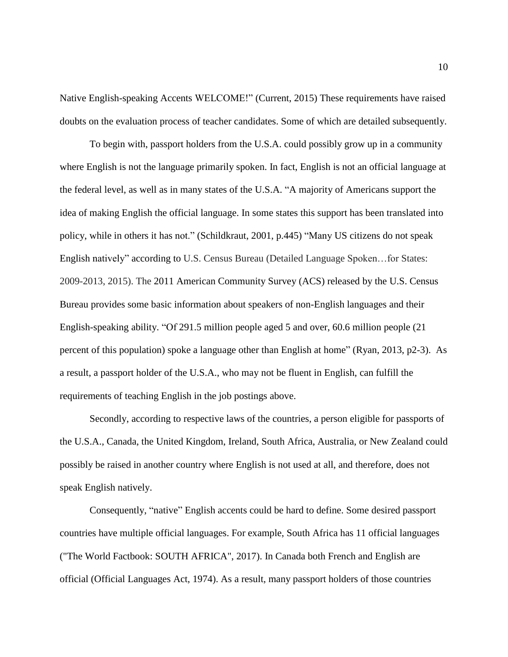Native English-speaking Accents WELCOME!" (Current, 2015) These requirements have raised doubts on the evaluation process of teacher candidates. Some of which are detailed subsequently.

To begin with, passport holders from the U.S.A. could possibly grow up in a community where English is not the language primarily spoken. In fact, English is not an official language at the federal level, as well as in many states of the U.S.A. "A majority of Americans support the idea of making English the official language. In some states this support has been translated into policy, while in others it has not." (Schildkraut, 2001, p.445) "Many US citizens do not speak English natively" according to U.S. Census Bureau (Detailed Language Spoken…for States: 2009-2013, 2015). The 2011 American Community Survey (ACS) released by the U.S. Census Bureau provides some basic information about speakers of non-English languages and their English-speaking ability. "Of 291.5 million people aged 5 and over, 60.6 million people (21 percent of this population) spoke a language other than English at home" (Ryan, 2013, p2-3). As a result, a passport holder of the U.S.A., who may not be fluent in English, can fulfill the requirements of teaching English in the job postings above.

Secondly, according to respective laws of the countries, a person eligible for passports of the U.S.A., Canada, the United Kingdom, Ireland, South Africa, Australia, or New Zealand could possibly be raised in another country where English is not used at all, and therefore, does not speak English natively.

Consequently, "native" English accents could be hard to define. Some desired passport countries have multiple official languages. For example, South Africa has 11 official languages ("The World Factbook: SOUTH AFRICA", 2017). In Canada both French and English are official (Official Languages Act, 1974). As a result, many passport holders of those countries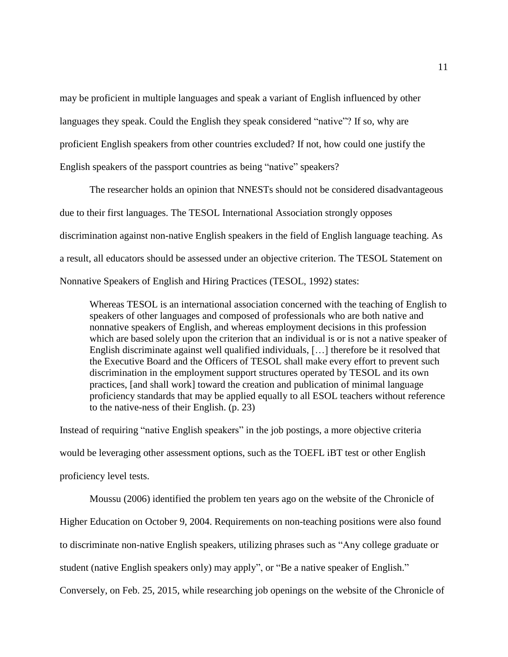may be proficient in multiple languages and speak a variant of English influenced by other languages they speak. Could the English they speak considered "native"? If so, why are proficient English speakers from other countries excluded? If not, how could one justify the English speakers of the passport countries as being "native" speakers?

The researcher holds an opinion that NNESTs should not be considered disadvantageous due to their first languages. The TESOL International Association strongly opposes discrimination against non-native English speakers in the field of English language teaching. As a result, all educators should be assessed under an objective criterion. The TESOL Statement on Nonnative Speakers of English and Hiring Practices (TESOL, 1992) states:

Whereas TESOL is an international association concerned with the teaching of English to speakers of other languages and composed of professionals who are both native and nonnative speakers of English, and whereas employment decisions in this profession which are based solely upon the criterion that an individual is or is not a native speaker of English discriminate against well qualified individuals, […] therefore be it resolved that the Executive Board and the Officers of TESOL shall make every effort to prevent such discrimination in the employment support structures operated by TESOL and its own practices, [and shall work] toward the creation and publication of minimal language proficiency standards that may be applied equally to all ESOL teachers without reference to the native-ness of their English. (p. 23)

Instead of requiring "native English speakers" in the job postings, a more objective criteria would be leveraging other assessment options, such as the TOEFL iBT test or other English proficiency level tests.

Moussu (2006) identified the problem ten years ago on the website of the Chronicle of Higher Education on October 9, 2004. Requirements on non-teaching positions were also found to discriminate non-native English speakers, utilizing phrases such as "Any college graduate or student (native English speakers only) may apply", or "Be a native speaker of English." Conversely, on Feb. 25, 2015, while researching job openings on the website of the Chronicle of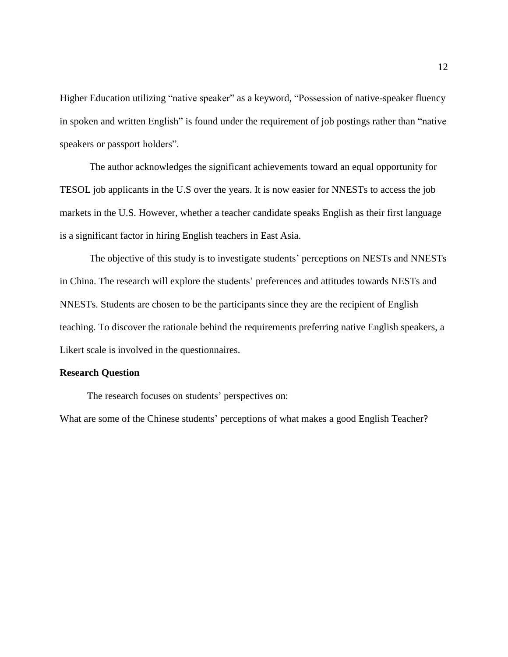Higher Education utilizing "native speaker" as a keyword, "Possession of native-speaker fluency in spoken and written English" is found under the requirement of job postings rather than "native speakers or passport holders".

The author acknowledges the significant achievements toward an equal opportunity for TESOL job applicants in the U.S over the years. It is now easier for NNESTs to access the job markets in the U.S. However, whether a teacher candidate speaks English as their first language is a significant factor in hiring English teachers in East Asia.

The objective of this study is to investigate students' perceptions on NESTs and NNESTs in China. The research will explore the students' preferences and attitudes towards NESTs and NNESTs. Students are chosen to be the participants since they are the recipient of English teaching. To discover the rationale behind the requirements preferring native English speakers, a Likert scale is involved in the questionnaires.

#### **Research Question**

<span id="page-12-0"></span>The research focuses on students' perspectives on:

What are some of the Chinese students' perceptions of what makes a good English Teacher?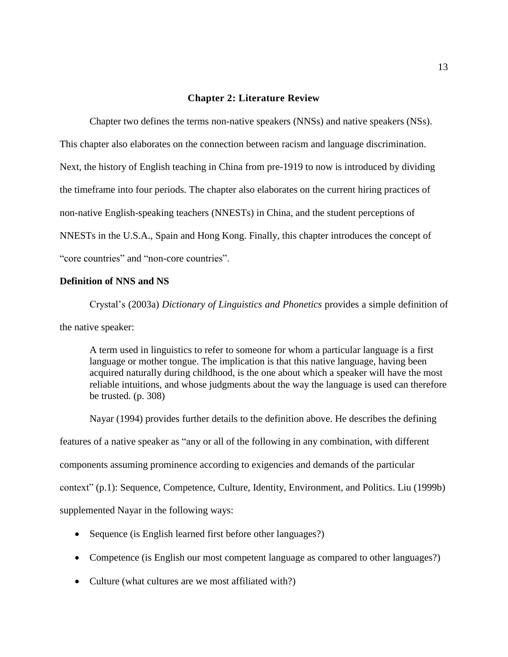#### **Chapter 2: Literature Review**

<span id="page-13-0"></span>Chapter two defines the terms non-native speakers (NNSs) and native speakers (NSs). This chapter also elaborates on the connection between racism and language discrimination. Next, the history of English teaching in China from pre-1919 to now is introduced by dividing the timeframe into four periods. The chapter also elaborates on the current hiring practices of non-native English-speaking teachers (NNESTs) in China, and the student perceptions of NNESTs in the U.S.A., Spain and Hong Kong. Finally, this chapter introduces the concept of "core countries" and "non-core countries".

#### <span id="page-13-1"></span>**Definition of NNS and NS**

Crystal's (2003a) *Dictionary of Linguistics and Phonetics* provides a simple definition of the native speaker:

A term used in linguistics to refer to someone for whom a particular language is a first language or mother tongue. The implication is that this native language, having been acquired naturally during childhood, is the one about which a speaker will have the most reliable intuitions, and whose judgments about the way the language is used can therefore be trusted. (p. 308)

Nayar (1994) provides further details to the definition above. He describes the defining features of a native speaker as "any or all of the following in any combination, with different components assuming prominence according to exigencies and demands of the particular context" (p.1): Sequence, Competence, Culture, Identity, Environment, and Politics. Liu (1999b) supplemented Nayar in the following ways:

- Sequence (is English learned first before other languages?)
- Competence (is English our most competent language as compared to other languages?)
- Culture (what cultures are we most affiliated with?)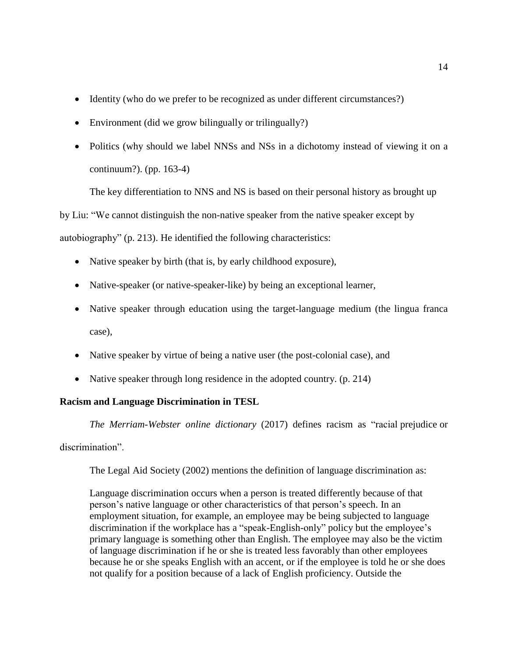- Identity (who do we prefer to be recognized as under different circumstances?)
- Environment (did we grow bilingually or trilingually?)
- Politics (why should we label NNSs and NSs in a dichotomy instead of viewing it on a continuum?). (pp. 163-4)

The key differentiation to NNS and NS is based on their personal history as brought up by Liu: "We cannot distinguish the non-native speaker from the native speaker except by autobiography" (p. 213). He identified the following characteristics:

- Native speaker by birth (that is, by early childhood exposure),
- Native-speaker (or native-speaker-like) by being an exceptional learner,
- Native speaker through education using the target-language medium (the lingua franca case),
- Native speaker by virtue of being a native user (the post-colonial case), and
- Native speaker through long residence in the adopted country. (p. 214)

## **Racism and Language Discrimination in TESL**

*The Merriam-Webster online dictionary* (2017) defines racism as "racial prejudice or discrimination".

<span id="page-14-0"></span>The Legal Aid Society (2002) mentions the definition of language discrimination as:

Language discrimination occurs when a person is treated differently because of that person's native language or other characteristics of that person's speech. In an employment situation, for example, an employee may be being subjected to language discrimination if the workplace has a "speak-English-only" policy but the employee's primary language is something other than English. The employee may also be the victim of language discrimination if he or she is treated less favorably than other employees because he or she speaks English with an accent, or if the employee is told he or she does not qualify for a position because of a lack of English proficiency. Outside the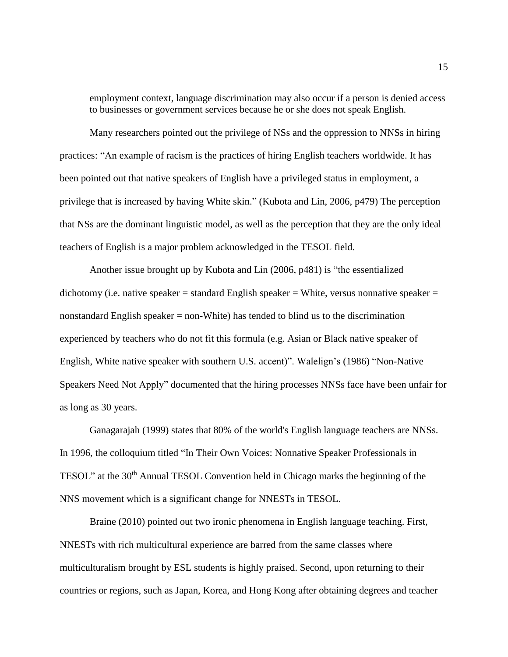employment context, language discrimination may also occur if a person is denied access to businesses or government services because he or she does not speak English.

Many researchers pointed out the privilege of NSs and the oppression to NNSs in hiring practices: "An example of racism is the practices of hiring English teachers worldwide. It has been pointed out that native speakers of English have a privileged status in employment, a privilege that is increased by having White skin." (Kubota and Lin, 2006, p479) The perception that NSs are the dominant linguistic model, as well as the perception that they are the only ideal teachers of English is a major problem acknowledged in the TESOL field.

Another issue brought up by Kubota and Lin (2006, p481) is "the essentialized dichotomy (i.e. native speaker = standard English speaker = White, versus nonnative speaker = nonstandard English speaker = non-White) has tended to blind us to the discrimination experienced by teachers who do not fit this formula (e.g. Asian or Black native speaker of English, White native speaker with southern U.S. accent)". Walelign's (1986) "Non-Native Speakers Need Not Apply" documented that the hiring processes NNSs face have been unfair for as long as 30 years.

Ganagarajah (1999) states that 80% of the world's English language teachers are NNSs. In 1996, the colloquium titled "In Their Own Voices: Nonnative Speaker Professionals in TESOL" at the 30th Annual TESOL Convention held in Chicago marks the beginning of the NNS movement which is a significant change for NNESTs in TESOL.

Braine (2010) pointed out two ironic phenomena in English language teaching. First, NNESTs with rich multicultural experience are barred from the same classes where multiculturalism brought by ESL students is highly praised. Second, upon returning to their countries or regions, such as Japan, Korea, and Hong Kong after obtaining degrees and teacher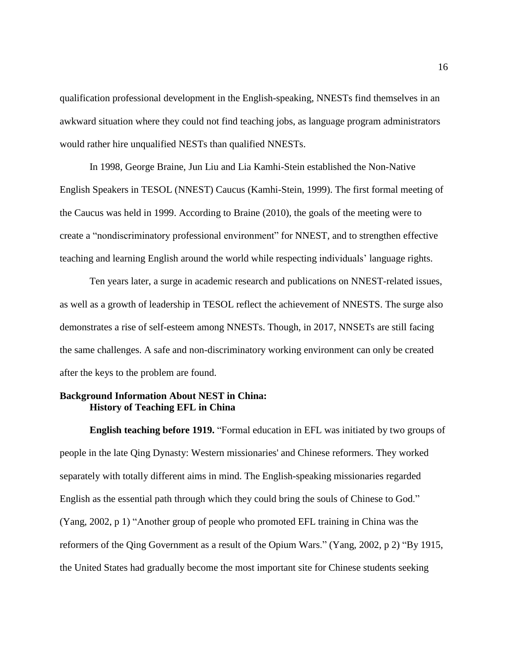qualification professional development in the English-speaking, NNESTs find themselves in an awkward situation where they could not find teaching jobs, as language program administrators would rather hire unqualified NESTs than qualified NNESTs.

In 1998, George Braine, Jun Liu and Lia Kamhi-Stein established the Non-Native English Speakers in TESOL (NNEST) Caucus (Kamhi-Stein, 1999). The first formal meeting of the Caucus was held in 1999. According to Braine (2010), the goals of the meeting were to create a "nondiscriminatory professional environment" for NNEST, and to strengthen effective teaching and learning English around the world while respecting individuals' language rights.

Ten years later, a surge in academic research and publications on NNEST-related issues, as well as a growth of leadership in TESOL reflect the achievement of NNESTS. The surge also demonstrates a rise of self-esteem among NNESTs. Though, in 2017, NNSETs are still facing the same challenges. A safe and non-discriminatory working environment can only be created after the keys to the problem are found.

#### <span id="page-16-0"></span>**Background Information About NEST in China: History of Teaching EFL in China**

**English teaching before 1919.** "Formal education in EFL was initiated by two groups of people in the late Qing Dynasty: Western missionaries' and Chinese reformers. They worked separately with totally different aims in mind. The English-speaking missionaries regarded English as the essential path through which they could bring the souls of Chinese to God." (Yang, 2002, p 1) "Another group of people who promoted EFL training in China was the reformers of the Qing Government as a result of the Opium Wars." (Yang, 2002, p 2) "By 1915, the United States had gradually become the most important site for Chinese students seeking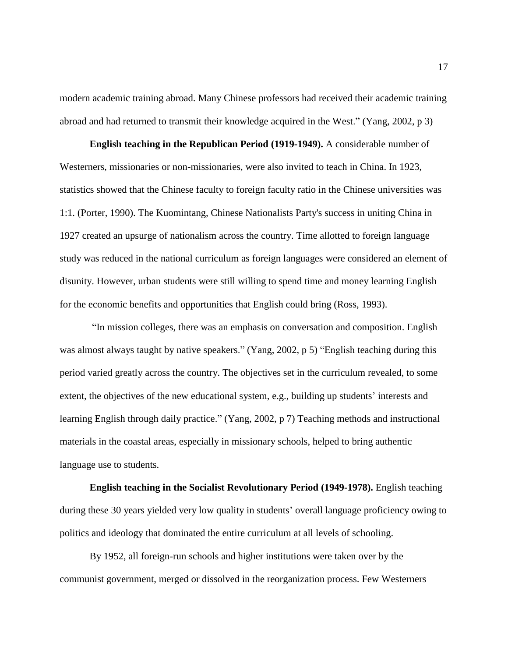modern academic training abroad. Many Chinese professors had received their academic training abroad and had returned to transmit their knowledge acquired in the West." (Yang, 2002, p 3)

**English teaching in the Republican Period (1919-1949).** A considerable number of Westerners, missionaries or non-missionaries, were also invited to teach in China. In 1923, statistics showed that the Chinese faculty to foreign faculty ratio in the Chinese universities was 1:1. (Porter, 1990). The Kuomintang, Chinese Nationalists Party's success in uniting China in 1927 created an upsurge of nationalism across the country. Time allotted to foreign language study was reduced in the national curriculum as foreign languages were considered an element of disunity. However, urban students were still willing to spend time and money learning English for the economic benefits and opportunities that English could bring (Ross, 1993).

"In mission colleges, there was an emphasis on conversation and composition. English was almost always taught by native speakers." (Yang, 2002, p 5) "English teaching during this period varied greatly across the country. The objectives set in the curriculum revealed, to some extent, the objectives of the new educational system, e.g., building up students' interests and learning English through daily practice." (Yang, 2002, p 7) Teaching methods and instructional materials in the coastal areas, especially in missionary schools, helped to bring authentic language use to students.

**English teaching in the Socialist Revolutionary Period (1949-1978).** English teaching during these 30 years yielded very low quality in students' overall language proficiency owing to politics and ideology that dominated the entire curriculum at all levels of schooling.

By 1952, all foreign-run schools and higher institutions were taken over by the communist government, merged or dissolved in the reorganization process. Few Westerners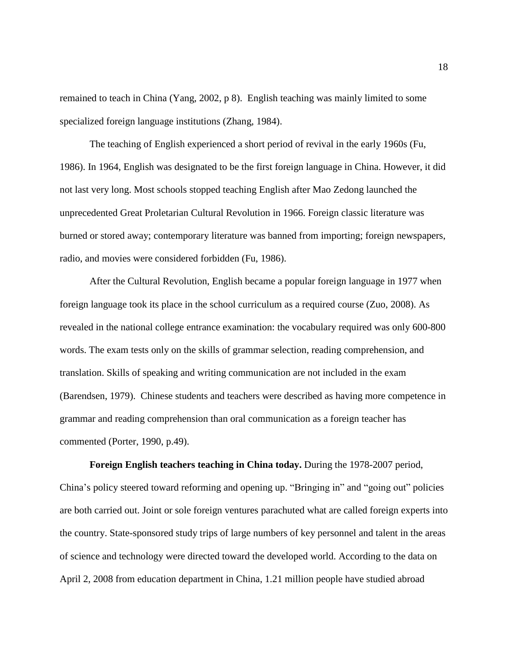remained to teach in China (Yang, 2002, p 8). English teaching was mainly limited to some specialized foreign language institutions (Zhang, 1984).

The teaching of English experienced a short period of revival in the early 1960s (Fu, 1986). In 1964, English was designated to be the first foreign language in China. However, it did not last very long. Most schools stopped teaching English after Mao Zedong launched the unprecedented Great Proletarian Cultural Revolution in 1966. Foreign classic literature was burned or stored away; contemporary literature was banned from importing; foreign newspapers, radio, and movies were considered forbidden (Fu, 1986).

After the Cultural Revolution, English became a popular foreign language in 1977 when foreign language took its place in the school curriculum as a required course (Zuo, 2008). As revealed in the national college entrance examination: the vocabulary required was only 600-800 words. The exam tests only on the skills of grammar selection, reading comprehension, and translation. Skills of speaking and writing communication are not included in the exam (Barendsen, 1979). Chinese students and teachers were described as having more competence in grammar and reading comprehension than oral communication as a foreign teacher has commented (Porter, 1990, p.49).

**Foreign English teachers teaching in China today.** During the 1978-2007 period, China's policy steered toward reforming and opening up. "Bringing in" and "going out" policies are both carried out. Joint or sole foreign ventures parachuted what are called foreign experts into the country. State-sponsored study trips of large numbers of key personnel and talent in the areas of science and technology were directed toward the developed world. According to the data on April 2, 2008 from education department in China, 1.21 million people have studied abroad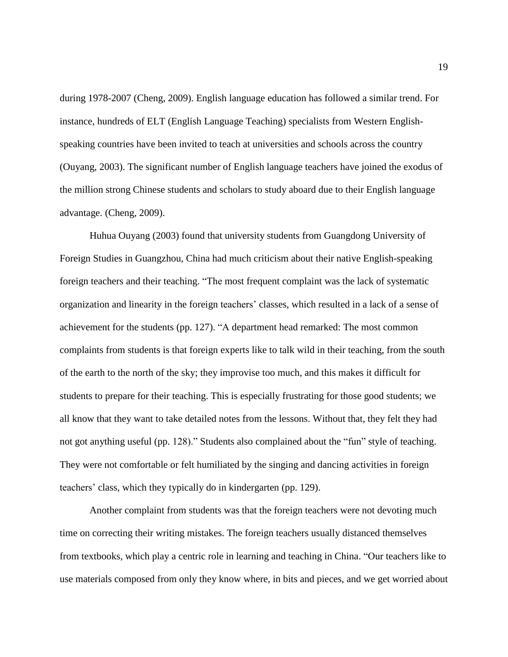during 1978-2007 (Cheng, 2009). English language education has followed a similar trend. For instance, hundreds of ELT (English Language Teaching) specialists from Western Englishspeaking countries have been invited to teach at universities and schools across the country (Ouyang, 2003). The significant number of English language teachers have joined the exodus of the million strong Chinese students and scholars to study aboard due to their English language advantage. (Cheng, 2009).

Huhua Ouyang (2003) found that university students from Guangdong University of Foreign Studies in Guangzhou, China had much criticism about their native English-speaking foreign teachers and their teaching. "The most frequent complaint was the lack of systematic organization and linearity in the foreign teachers' classes, which resulted in a lack of a sense of achievement for the students (pp. 127). "A department head remarked: The most common complaints from students is that foreign experts like to talk wild in their teaching, from the south of the earth to the north of the sky; they improvise too much, and this makes it difficult for students to prepare for their teaching. This is especially frustrating for those good students; we all know that they want to take detailed notes from the lessons. Without that, they felt they had not got anything useful (pp. 128)." Students also complained about the "fun" style of teaching. They were not comfortable or felt humiliated by the singing and dancing activities in foreign teachers' class, which they typically do in kindergarten (pp. 129).

Another complaint from students was that the foreign teachers were not devoting much time on correcting their writing mistakes. The foreign teachers usually distanced themselves from textbooks, which play a centric role in learning and teaching in China. "Our teachers like to use materials composed from only they know where, in bits and pieces, and we get worried about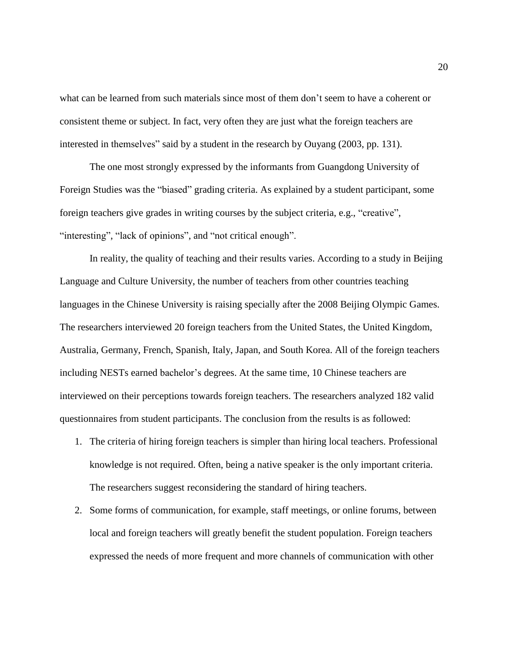what can be learned from such materials since most of them don't seem to have a coherent or consistent theme or subject. In fact, very often they are just what the foreign teachers are interested in themselves" said by a student in the research by Ouyang (2003, pp. 131).

The one most strongly expressed by the informants from Guangdong University of Foreign Studies was the "biased" grading criteria. As explained by a student participant, some foreign teachers give grades in writing courses by the subject criteria, e.g., "creative", "interesting", "lack of opinions", and "not critical enough".

In reality, the quality of teaching and their results varies. According to a study in Beijing Language and Culture University, the number of teachers from other countries teaching languages in the Chinese University is raising specially after the 2008 Beijing Olympic Games. The researchers interviewed 20 foreign teachers from the United States, the United Kingdom, Australia, Germany, French, Spanish, Italy, Japan, and South Korea. All of the foreign teachers including NESTs earned bachelor's degrees. At the same time, 10 Chinese teachers are interviewed on their perceptions towards foreign teachers. The researchers analyzed 182 valid questionnaires from student participants. The conclusion from the results is as followed:

- 1. The criteria of hiring foreign teachers is simpler than hiring local teachers. Professional knowledge is not required. Often, being a native speaker is the only important criteria. The researchers suggest reconsidering the standard of hiring teachers.
- 2. Some forms of communication, for example, staff meetings, or online forums, between local and foreign teachers will greatly benefit the student population. Foreign teachers expressed the needs of more frequent and more channels of communication with other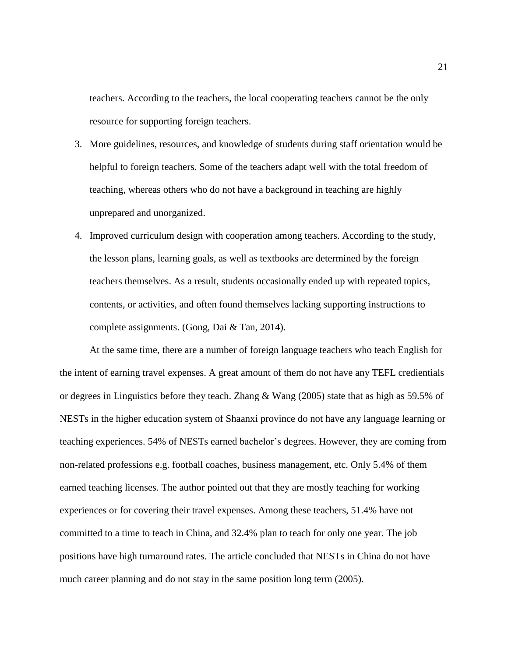teachers. According to the teachers, the local cooperating teachers cannot be the only resource for supporting foreign teachers.

- 3. More guidelines, resources, and knowledge of students during staff orientation would be helpful to foreign teachers. Some of the teachers adapt well with the total freedom of teaching, whereas others who do not have a background in teaching are highly unprepared and unorganized.
- 4. Improved curriculum design with cooperation among teachers. According to the study, the lesson plans, learning goals, as well as textbooks are determined by the foreign teachers themselves. As a result, students occasionally ended up with repeated topics, contents, or activities, and often found themselves lacking supporting instructions to complete assignments. (Gong, Dai & Tan, 2014).

At the same time, there are a number of foreign language teachers who teach English for the intent of earning travel expenses. A great amount of them do not have any TEFL credientials or degrees in Linguistics before they teach. Zhang & Wang (2005) state that as high as 59.5% of NESTs in the higher education system of Shaanxi province do not have any language learning or teaching experiences. 54% of NESTs earned bachelor's degrees. However, they are coming from non-related professions e.g. football coaches, business management, etc. Only 5.4% of them earned teaching licenses. The author pointed out that they are mostly teaching for working experiences or for covering their travel expenses. Among these teachers, 51.4% have not committed to a time to teach in China, and 32.4% plan to teach for only one year. The job positions have high turnaround rates. The article concluded that NESTs in China do not have much career planning and do not stay in the same position long term (2005).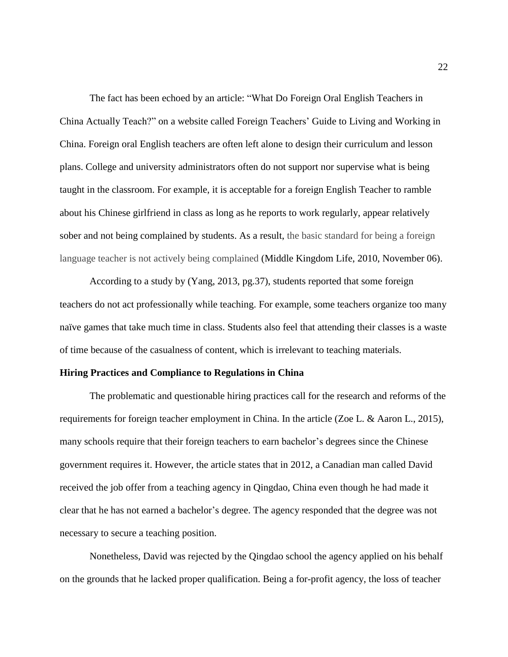The fact has been echoed by an article: "What Do Foreign Oral English Teachers in China Actually Teach?" on a website called Foreign Teachers' Guide to Living and Working in China. Foreign oral English teachers are often left alone to design their curriculum and lesson plans. College and university administrators often do not support nor supervise what is being taught in the classroom. For example, it is acceptable for a foreign English Teacher to ramble about his Chinese girlfriend in class as long as he reports to work regularly, appear relatively sober and not being complained by students. As a result, the basic standard for being a foreign language teacher is not actively being complained (Middle Kingdom Life, 2010, November 06).

According to a study by (Yang, 2013, pg.37), students reported that some foreign teachers do not act professionally while teaching. For example, some teachers organize too many naïve games that take much time in class. Students also feel that attending their classes is a waste of time because of the casualness of content, which is irrelevant to teaching materials.

#### <span id="page-22-0"></span>**Hiring Practices and Compliance to Regulations in China**

The problematic and questionable hiring practices call for the research and reforms of the requirements for foreign teacher employment in China. In the article (Zoe L. & Aaron L., 2015), many schools require that their foreign teachers to earn bachelor's degrees since the Chinese government requires it. However, the article states that in 2012, a Canadian man called David received the job offer from a teaching agency in Qingdao, China even though he had made it clear that he has not earned a bachelor's degree. The agency responded that the degree was not necessary to secure a teaching position.

Nonetheless, David was rejected by the Qingdao school the agency applied on his behalf on the grounds that he lacked proper qualification. Being a for-profit agency, the loss of teacher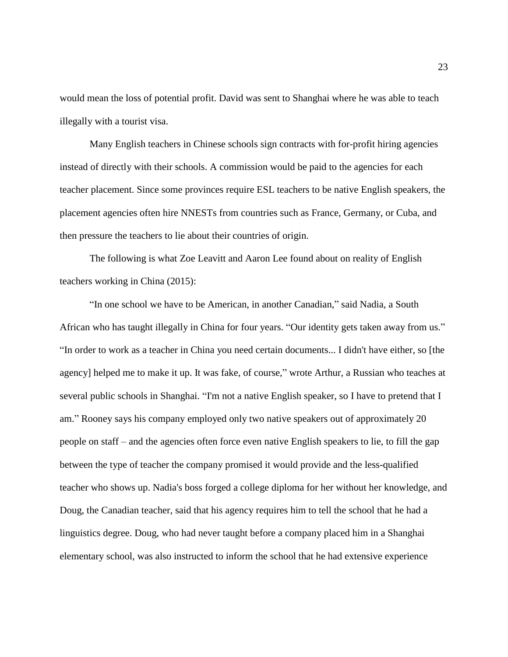would mean the loss of potential profit. David was sent to Shanghai where he was able to teach illegally with a tourist visa.

Many English teachers in Chinese schools sign contracts with for-profit hiring agencies instead of directly with their schools. A commission would be paid to the agencies for each teacher placement. Since some provinces require ESL teachers to be native English speakers, the placement agencies often hire NNESTs from countries such as France, Germany, or Cuba, and then pressure the teachers to lie about their countries of origin.

The following is what Zoe Leavitt and Aaron Lee found about on reality of English teachers working in China (2015):

"In one school we have to be American, in another Canadian," said Nadia, a South African who has taught illegally in China for four years. "Our identity gets taken away from us." "In order to work as a teacher in China you need certain documents... I didn't have either, so [the agency] helped me to make it up. It was fake, of course," wrote Arthur, a Russian who teaches at several public schools in Shanghai. "I'm not a native English speaker, so I have to pretend that I am." Rooney says his company employed only two native speakers out of approximately 20 people on staff – and the agencies often force even native English speakers to lie, to fill the gap between the type of teacher the company promised it would provide and the less-qualified teacher who shows up. Nadia's boss forged a college diploma for her without her knowledge, and Doug, the Canadian teacher, said that his agency requires him to tell the school that he had a linguistics degree. Doug, who had never taught before a company placed him in a Shanghai elementary school, was also instructed to inform the school that he had extensive experience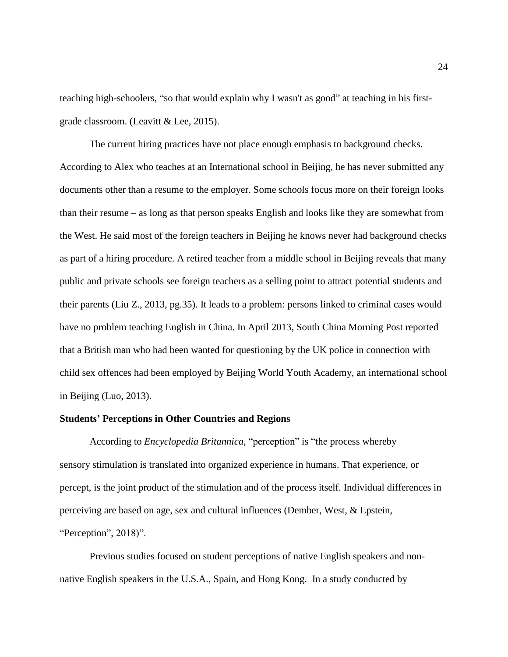teaching high-schoolers, "so that would explain why I wasn't as good" at teaching in his firstgrade classroom. (Leavitt & Lee, 2015).

The current hiring practices have not place enough emphasis to background checks. According to Alex who teaches at an International school in Beijing, he has never submitted any documents other than a resume to the employer. Some schools focus more on their foreign looks than their resume – as long as that person speaks English and looks like they are somewhat from the West. He said most of the foreign teachers in Beijing he knows never had background checks as part of a hiring procedure. A retired teacher from a middle school in Beijing reveals that many public and private schools see foreign teachers as a selling point to attract potential students and their parents (Liu Z., 2013, pg.35). It leads to a problem: persons linked to criminal cases would have no problem teaching English in China. In April 2013, South China Morning Post reported that a British man who had been wanted for questioning by the UK police in connection with child sex offences had been employed by Beijing World Youth Academy, an international school in Beijing (Luo, 2013).

#### <span id="page-24-0"></span>**Students' Perceptions in Other Countries and Regions**

According to *Encyclopedia Britannica*, "perception" is "the process whereby sensory [stimulation](https://www.britannica.com/science/stimulus-response-theory) is translated into organized experience in humans. That experience, or percept, is the joint product of the stimulation and of the process itself. Individual differences in perceiving are based on age, sex and cultural influences (Dember, West, & Epstein, "Perception", 2018)".

Previous studies focused on student perceptions of native English speakers and nonnative English speakers in the U.S.A., Spain, and Hong Kong. In a study conducted by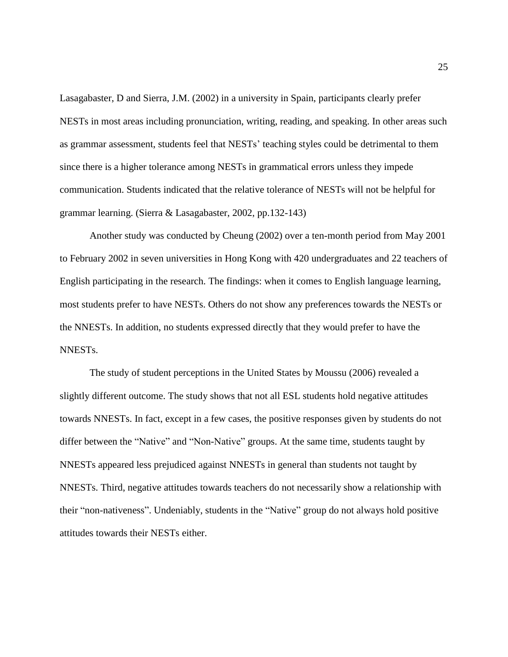Lasagabaster, D and Sierra, J.M. (2002) in a university in Spain, participants clearly prefer NESTs in most areas including pronunciation, writing, reading, and speaking. In other areas such as grammar assessment, students feel that NESTs' teaching styles could be detrimental to them since there is a higher tolerance among NESTs in grammatical errors unless they impede communication. Students indicated that the relative tolerance of NESTs will not be helpful for grammar learning. (Sierra & Lasagabaster, 2002, pp.132-143)

Another study was conducted by Cheung (2002) over a ten-month period from May 2001 to February 2002 in seven universities in Hong Kong with 420 undergraduates and 22 teachers of English participating in the research. The findings: when it comes to English language learning, most students prefer to have NESTs. Others do not show any preferences towards the NESTs or the NNESTs. In addition, no students expressed directly that they would prefer to have the NNESTs.

<span id="page-25-0"></span>The study of student perceptions in the United States by Moussu (2006) revealed a slightly different outcome. The study shows that not all ESL students hold negative attitudes towards NNESTs. In fact, except in a few cases, the positive responses given by students do not differ between the "Native" and "Non-Native" groups. At the same time, students taught by NNESTs appeared less prejudiced against NNESTs in general than students not taught by NNESTs. Third, negative attitudes towards teachers do not necessarily show a relationship with their "non-nativeness". Undeniably, students in the "Native" group do not always hold positive attitudes towards their NESTs either.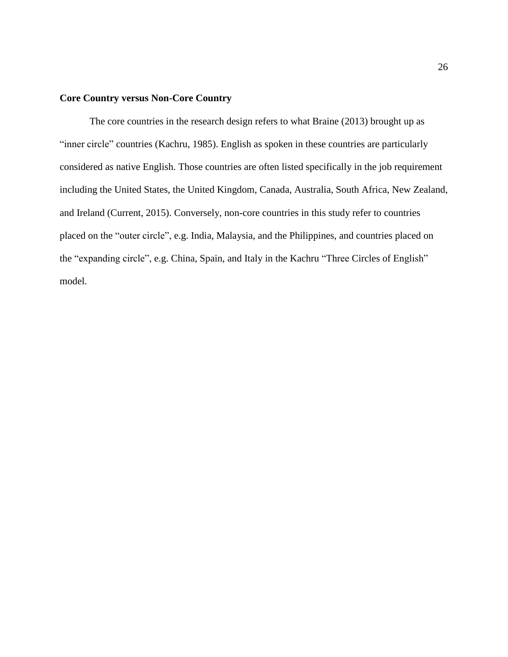#### **Core Country versus Non-Core Country**

The core countries in the research design refers to what Braine (2013) brought up as "inner circle" countries (Kachru, 1985). English as spoken in these countries are particularly considered as native English. Those countries are often listed specifically in the job requirement including the United States, the United Kingdom, Canada, Australia, South Africa, New Zealand, and Ireland (Current, 2015). Conversely, non-core countries in this study refer to countries placed on the "outer circle", e.g. India, Malaysia, and the Philippines, and countries placed on the "expanding circle", e.g. China, Spain, and Italy in the Kachru "Three Circles of English" model.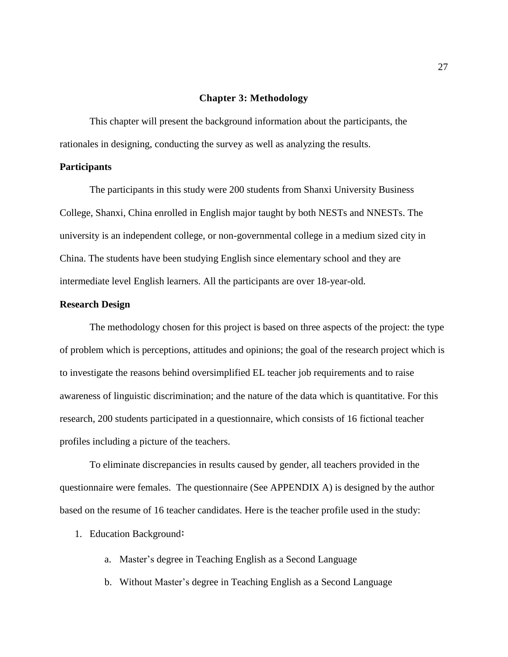#### **Chapter 3: Methodology**

<span id="page-27-0"></span>This chapter will present the background information about the participants, the rationales in designing, conducting the survey as well as analyzing the results.

#### <span id="page-27-1"></span>**Participants**

The participants in this study were 200 students from Shanxi University Business College, Shanxi, China enrolled in English major taught by both NESTs and NNESTs. The university is an independent college, or non-governmental college in a medium sized city in China. The students have been studying English since elementary school and they are intermediate level English learners. All the participants are over 18-year-old.

#### <span id="page-27-2"></span>**Research Design**

The methodology chosen for this project is based on three aspects of the project: the type of problem which is perceptions, attitudes and opinions; the goal of the research project which is to investigate the reasons behind oversimplified EL teacher job requirements and to raise awareness of linguistic discrimination; and the nature of the data which is quantitative. For this research, 200 students participated in a questionnaire, which consists of 16 fictional teacher profiles including a picture of the teachers.

To eliminate discrepancies in results caused by gender, all teachers provided in the questionnaire were females. The questionnaire (See APPENDIX A) is designed by the author based on the resume of 16 teacher candidates. Here is the teacher profile used in the study:

- 1. Education Background:
	- a. Master's degree in Teaching English as a Second Language
	- b. Without Master's degree in Teaching English as a Second Language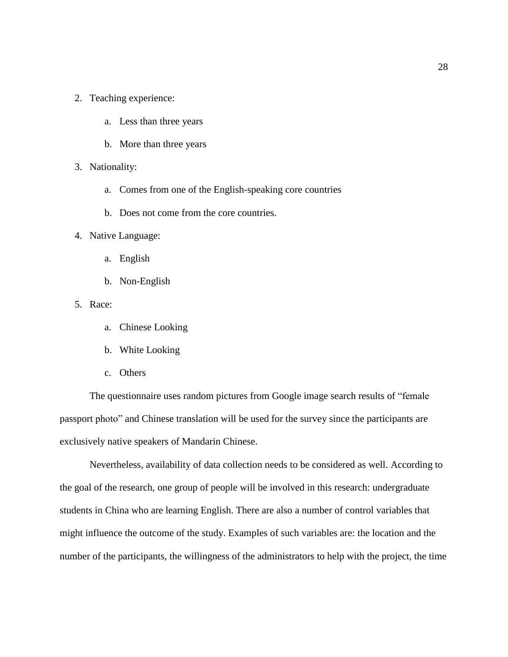- 2. Teaching experience:
	- a. Less than three years
	- b. More than three years
- 3. Nationality:
	- a. Comes from one of the English-speaking core countries
	- b. Does not come from the core countries.
- 4. Native Language:
	- a. English
	- b. Non-English
- 5. Race:
	- a. Chinese Looking
	- b. White Looking
	- c. Others

The questionnaire uses random pictures from Google image search results of "female passport photo" and Chinese translation will be used for the survey since the participants are exclusively native speakers of Mandarin Chinese.

Nevertheless, availability of data collection needs to be considered as well. According to the goal of the research, one group of people will be involved in this research: undergraduate students in China who are learning English. There are also a number of control variables that might influence the outcome of the study. Examples of such variables are: the location and the number of the participants, the willingness of the administrators to help with the project, the time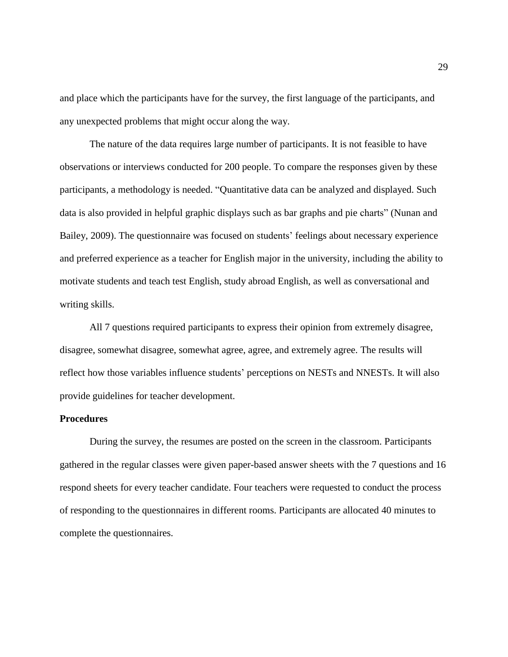and place which the participants have for the survey, the first language of the participants, and any unexpected problems that might occur along the way.

The nature of the data requires large number of participants. It is not feasible to have observations or interviews conducted for 200 people. To compare the responses given by these participants, a methodology is needed. "Quantitative data can be analyzed and displayed. Such data is also provided in helpful graphic displays such as bar graphs and pie charts" (Nunan and Bailey, 2009). The questionnaire was focused on students' feelings about necessary experience and preferred experience as a teacher for English major in the university, including the ability to motivate students and teach test English, study abroad English, as well as conversational and writing skills.

All 7 questions required participants to express their opinion from extremely disagree, disagree, somewhat disagree, somewhat agree, agree, and extremely agree. The results will reflect how those variables influence students' perceptions on NESTs and NNESTs. It will also provide guidelines for teacher development.

#### <span id="page-29-0"></span>**Procedures**

<span id="page-29-1"></span>During the survey, the resumes are posted on the screen in the classroom. Participants gathered in the regular classes were given paper-based answer sheets with the 7 questions and 16 respond sheets for every teacher candidate. Four teachers were requested to conduct the process of responding to the questionnaires in different rooms. Participants are allocated 40 minutes to complete the questionnaires.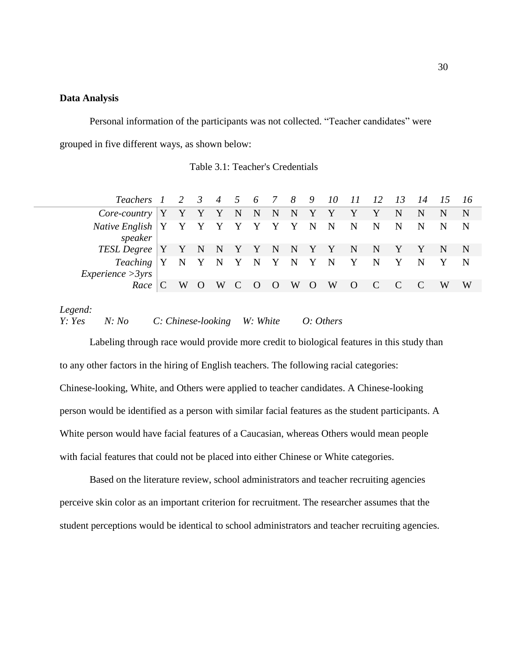#### **Data Analysis**

Personal information of the participants was not collected. "Teacher candidates" were grouped in five different ways, as shown below:

|  |  | Table 3.1: Teacher's Credentials |
|--|--|----------------------------------|
|--|--|----------------------------------|

<span id="page-30-0"></span>

| Teachers 1 2 3 4 5 6 7 8 9 10 11 12 13 14 15 16                                                     |     |       |  |  |           |                |                |              |              |             |
|-----------------------------------------------------------------------------------------------------|-----|-------|--|--|-----------|----------------|----------------|--------------|--------------|-------------|
| $Core\text{-}country$ $\begin{bmatrix} Y & Y & Y & Y & N & N & N & N & Y & Y & Y & Y \end{bmatrix}$ |     |       |  |  |           |                | N              | $\mathbf N$  | $\mathbb{N}$ | – N         |
| Native English   Y Y Y Y Y Y Y Y Y N N N N N N N<br>speaker                                         |     |       |  |  |           |                |                |              |              | $\mathbf N$ |
| TESL Degree   Y Y N N Y Y N N Y Y N N Y Y N N                                                       |     |       |  |  |           |                |                |              |              |             |
| Teaching   Y N Y N Y N Y N Y N Y N Y N Y N<br>$\mathit{Experience} > 3\gamma rs$                    |     |       |  |  |           |                |                |              |              |             |
| $Race \mid C$                                                                                       | W O | W C O |  |  | O W O W O | $\overline{C}$ | $\overline{C}$ | $\mathbb{C}$ | w w          |             |

*Legend:*

*Y: Yes N: No C: Chinese-looking W: White O: Others*

Labeling through race would provide more credit to biological features in this study than to any other factors in the hiring of English teachers. The following racial categories: Chinese-looking, White, and Others were applied to teacher candidates. A Chinese-looking person would be identified as a person with similar facial features as the student participants. A White person would have facial features of a Caucasian, whereas Others would mean people with facial features that could not be placed into either Chinese or White categories.

Based on the literature review, school administrators and teacher recruiting agencies perceive skin color as an important criterion for recruitment. The researcher assumes that the student perceptions would be identical to school administrators and teacher recruiting agencies.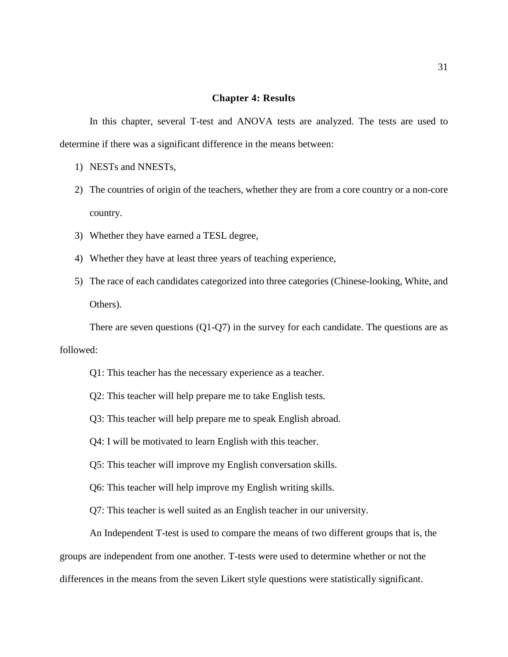#### **Chapter 4: Results**

<span id="page-31-0"></span>In this chapter, several T-test and ANOVA tests are analyzed. The tests are used to determine if there was a significant difference in the means between:

- 1) NESTs and NNESTs,
- 2) The countries of origin of the teachers, whether they are from a core country or a non-core country.
- 3) Whether they have earned a TESL degree,
- 4) Whether they have at least three years of teaching experience,
- 5) The race of each candidates categorized into three categories (Chinese-looking, White, and Others).

There are seven questions  $(Q1-Q7)$  in the survey for each candidate. The questions are as followed:

- Q1: This teacher has the necessary experience as a teacher.
- Q2: This teacher will help prepare me to take English tests.
- Q3: This teacher will help prepare me to speak English abroad.
- Q4: I will be motivated to learn English with this teacher.
- Q5: This teacher will improve my English conversation skills.
- Q6: This teacher will help improve my English writing skills.
- Q7: This teacher is well suited as an English teacher in our university.

An Independent T-test is used to compare the means of two different groups that is, the groups are independent from one another. T-tests were used to determine whether or not the differences in the means from the seven Likert style questions were statistically significant.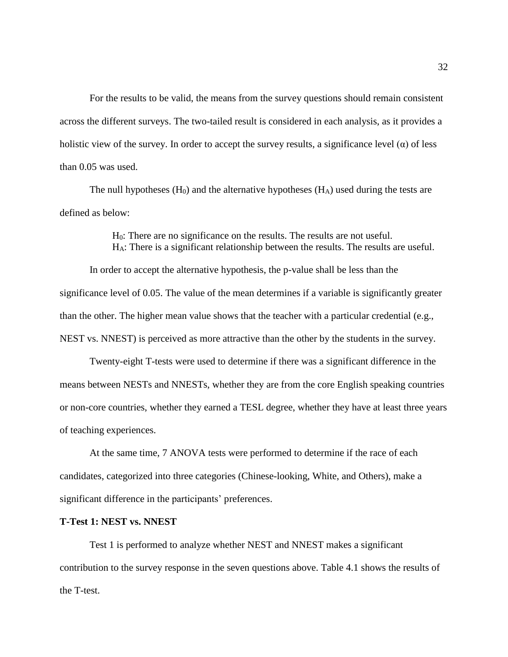For the results to be valid, the means from the survey questions should remain consistent across the different surveys. The two-tailed result is considered in each analysis, as it provides a holistic view of the survey. In order to accept the survey results, a significance level  $(\alpha)$  of less than 0.05 was used.

The null hypotheses  $(H_0)$  and the alternative hypotheses  $(H_A)$  used during the tests are defined as below:

> H0: There are no significance on the results. The results are not useful. HA: There is a significant relationship between the results. The results are useful.

In order to accept the alternative hypothesis, the p-value shall be less than the significance level of 0.05. The value of the mean determines if a variable is significantly greater than the other. The higher mean value shows that the teacher with a particular credential (e.g., NEST vs. NNEST) is perceived as more attractive than the other by the students in the survey.

Twenty-eight T-tests were used to determine if there was a significant difference in the means between NESTs and NNESTs, whether they are from the core English speaking countries or non-core countries, whether they earned a TESL degree, whether they have at least three years of teaching experiences.

At the same time, 7 ANOVA tests were performed to determine if the race of each candidates, categorized into three categories (Chinese-looking, White, and Others), make a significant difference in the participants' preferences.

#### <span id="page-32-0"></span>**T-Test 1: NEST vs. NNEST**

Test 1 is performed to analyze whether NEST and NNEST makes a significant contribution to the survey response in the seven questions above. Table 4.1 shows the results of the T-test.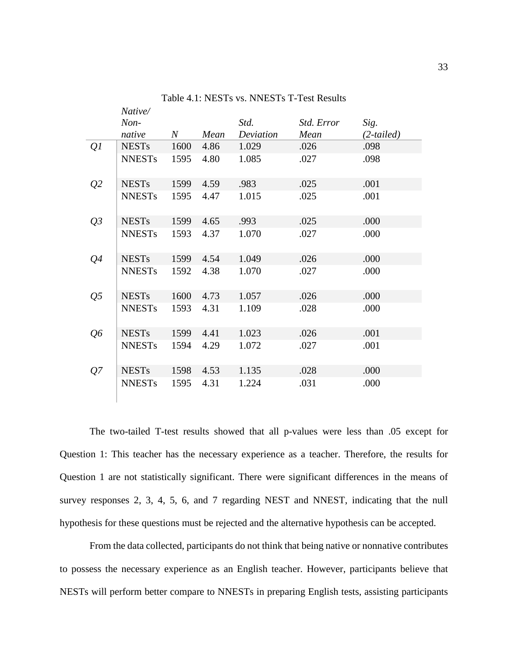<span id="page-33-0"></span>

|                | Native/       |         |      |           |            |              |
|----------------|---------------|---------|------|-----------|------------|--------------|
|                | $Non-$        |         |      | Std.      | Std. Error | Sig.         |
|                | native        | $\it N$ | Mean | Deviation | Mean       | $(2-tailed)$ |
| Q <sub>I</sub> | <b>NESTs</b>  | 1600    | 4.86 | 1.029     | .026       | .098         |
|                | <b>NNESTs</b> | 1595    | 4.80 | 1.085     | .027       | .098         |
| Q <sub>2</sub> | <b>NESTs</b>  | 1599    | 4.59 | .983      | .025       | .001         |
|                | <b>NNESTs</b> | 1595    | 4.47 | 1.015     | .025       | .001         |
| $Q_3$          | <b>NESTs</b>  | 1599    | 4.65 | .993      | .025       | .000         |
|                | <b>NNESTs</b> | 1593    | 4.37 | 1.070     | .027       | .000         |
| Q4             | <b>NESTs</b>  | 1599    | 4.54 | 1.049     | .026       | .000         |
|                | <b>NNESTs</b> | 1592    | 4.38 | 1.070     | .027       | .000         |
| Q <sub>5</sub> | <b>NESTs</b>  | 1600    | 4.73 | 1.057     | .026       | .000         |
|                | <b>NNESTs</b> | 1593    | 4.31 | 1.109     | .028       | .000         |
| Q6             | <b>NESTs</b>  | 1599    | 4.41 | 1.023     | .026       | .001         |
|                | <b>NNESTs</b> | 1594    | 4.29 | 1.072     | .027       | .001         |
| Q7             | <b>NESTs</b>  | 1598    | 4.53 | 1.135     | .028       | .000         |
|                | <b>NNESTs</b> | 1595    | 4.31 | 1.224     | .031       | .000         |

Table 4.1: NESTs vs. NNESTs T-Test Results

The two-tailed T-test results showed that all p-values were less than .05 except for Question 1: This teacher has the necessary experience as a teacher. Therefore, the results for Question 1 are not statistically significant. There were significant differences in the means of survey responses 2, 3, 4, 5, 6, and 7 regarding NEST and NNEST, indicating that the null hypothesis for these questions must be rejected and the alternative hypothesis can be accepted.

From the data collected, participants do not think that being native or nonnative contributes to possess the necessary experience as an English teacher. However, participants believe that NESTs will perform better compare to NNESTs in preparing English tests, assisting participants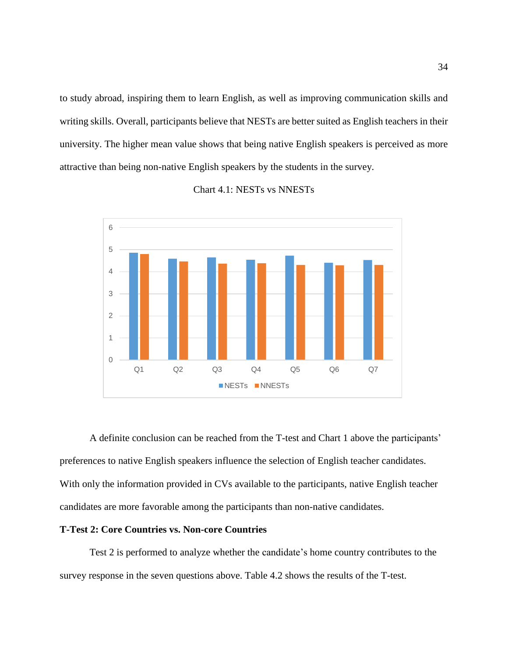to study abroad, inspiring them to learn English, as well as improving communication skills and writing skills. Overall, participants believe that NESTs are better suited as English teachers in their university. The higher mean value shows that being native English speakers is perceived as more attractive than being non-native English speakers by the students in the survey.

# <span id="page-34-2"></span>0 1 2 3 4 5 6 Q1 Q2 Q3 Q4 Q5 Q6 Q7 NESTS NNESTS

#### Chart 4.1: NESTs vs NNESTs

A definite conclusion can be reached from the T-test and Chart 1 above the participants' preferences to native English speakers influence the selection of English teacher candidates. With only the information provided in CVs available to the participants, native English teacher candidates are more favorable among the participants than non-native candidates.

#### <span id="page-34-0"></span>**T-Test 2: Core Countries vs. Non-core Countries**

<span id="page-34-1"></span>Test 2 is performed to analyze whether the candidate's home country contributes to the survey response in the seven questions above. Table 4.2 shows the results of the T-test.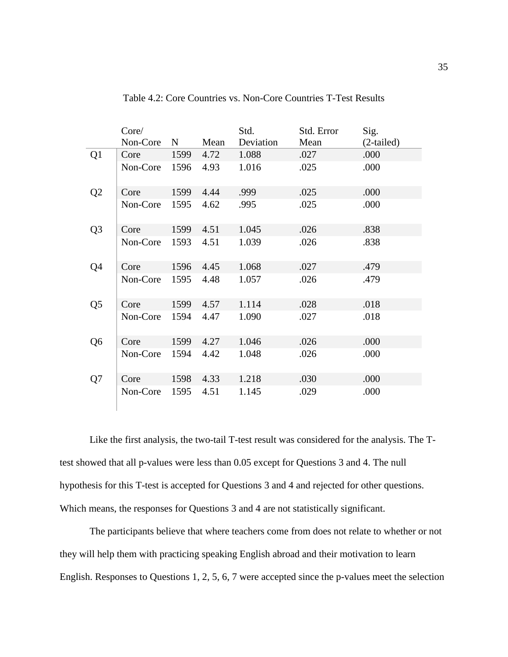|                | Core/<br>Non-Core | $\mathbf N$ | Mean | Std.<br>Deviation | Std. Error<br>Mean | Sig.<br>$(2-tailed)$ |
|----------------|-------------------|-------------|------|-------------------|--------------------|----------------------|
| Q <sub>1</sub> | Core              | 1599        | 4.72 | 1.088             | .027               | .000                 |
|                | Non-Core          | 1596        | 4.93 | 1.016             | .025               | .000                 |
| Q <sub>2</sub> | Core              | 1599        | 4.44 | .999              | .025               | .000                 |
|                | Non-Core          | 1595        | 4.62 | .995              | .025               | .000                 |
| Q <sub>3</sub> | Core              | 1599        | 4.51 | 1.045             | .026               | .838                 |
|                | Non-Core          | 1593        | 4.51 | 1.039             | .026               | .838                 |
| Q4             | Core              | 1596        | 4.45 | 1.068             | .027               | .479                 |
|                | Non-Core          | 1595        | 4.48 | 1.057             | .026               | .479                 |
| Q <sub>5</sub> | Core              | 1599        | 4.57 | 1.114             | .028               | .018                 |
|                | Non-Core          | 1594        | 4.47 | 1.090             | .027               | .018                 |
| Q <sub>6</sub> | Core              | 1599        | 4.27 | 1.046             | .026               | .000                 |
|                | Non-Core          | 1594        | 4.42 | 1.048             | .026               | .000                 |
| Q7             | Core              | 1598        | 4.33 | 1.218             | .030               | .000                 |
|                | Non-Core          | 1595        | 4.51 | 1.145             | .029               | .000                 |

Table 4.2: Core Countries vs. Non-Core Countries T-Test Results

Like the first analysis, the two-tail T-test result was considered for the analysis. The Ttest showed that all p-values were less than 0.05 except for Questions 3 and 4. The null hypothesis for this T-test is accepted for Questions 3 and 4 and rejected for other questions. Which means, the responses for Questions 3 and 4 are not statistically significant.

The participants believe that where teachers come from does not relate to whether or not they will help them with practicing speaking English abroad and their motivation to learn English. Responses to Questions 1, 2, 5, 6, 7 were accepted since the p-values meet the selection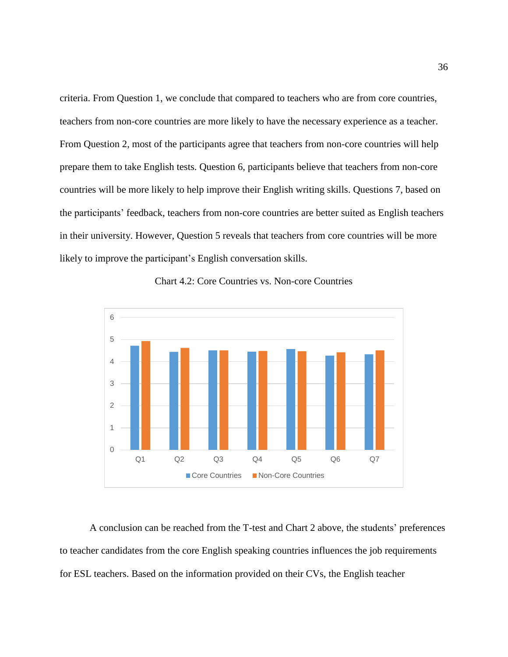criteria. From Question 1, we conclude that compared to teachers who are from core countries, teachers from non-core countries are more likely to have the necessary experience as a teacher. From Question 2, most of the participants agree that teachers from non-core countries will help prepare them to take English tests. Question 6, participants believe that teachers from non-core countries will be more likely to help improve their English writing skills. Questions 7, based on the participants' feedback, teachers from non-core countries are better suited as English teachers in their university. However, Question 5 reveals that teachers from core countries will be more likely to improve the participant's English conversation skills.

<span id="page-36-0"></span>



A conclusion can be reached from the T-test and Chart 2 above, the students' preferences to teacher candidates from the core English speaking countries influences the job requirements for ESL teachers. Based on the information provided on their CVs, the English teacher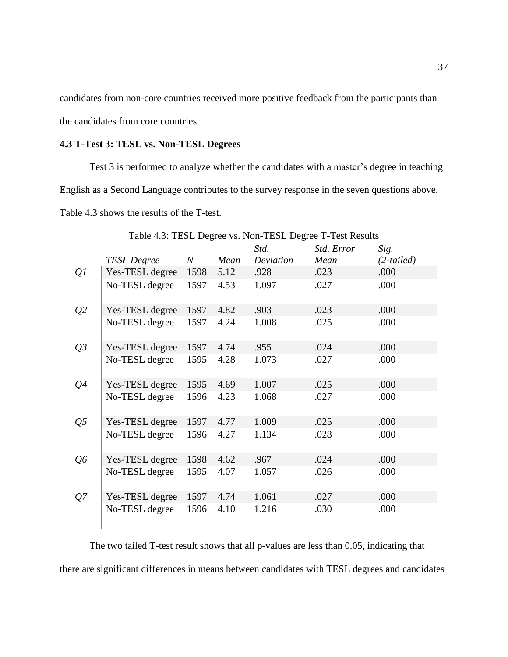candidates from non-core countries received more positive feedback from the participants than the candidates from core countries.

## <span id="page-37-0"></span>**4.3 T-Test 3: TESL vs. Non-TESL Degrees**

Test 3 is performed to analyze whether the candidates with a master's degree in teaching English as a Second Language contributes to the survey response in the seven questions above. Table 4.3 shows the results of the T-test.

|                |                    |                  |      | Std.      | Std. Error | Sig.         |
|----------------|--------------------|------------------|------|-----------|------------|--------------|
|                | <b>TESL Degree</b> | $\boldsymbol{N}$ | Mean | Deviation | Mean       | $(2-tailed)$ |
| Q <sub>l</sub> | Yes-TESL degree    | 1598             | 5.12 | .928      | .023       | .000         |
|                | No-TESL degree     | 1597             | 4.53 | 1.097     | .027       | .000         |
| Q <sub>2</sub> | Yes-TESL degree    | 1597             | 4.82 | .903      | .023       | .000         |
|                | No-TESL degree     | 1597             | 4.24 | 1.008     | .025       | .000         |
| Q3             | Yes-TESL degree    | 1597             | 4.74 | .955      | .024       | .000         |
|                | No-TESL degree     | 1595             | 4.28 | 1.073     | .027       | .000         |
| Q <sub>4</sub> | Yes-TESL degree    | 1595             | 4.69 | 1.007     | .025       | .000         |
|                | No-TESL degree     | 1596             | 4.23 | 1.068     | .027       | .000         |
| Q <sub>5</sub> | Yes-TESL degree    | 1597             | 4.77 | 1.009     | .025       | .000         |
|                | No-TESL degree     | 1596             | 4.27 | 1.134     | .028       | .000         |
| Q6             | Yes-TESL degree    | 1598             | 4.62 | .967      | .024       | .000         |
|                | No-TESL degree     | 1595             | 4.07 | 1.057     | .026       | .000         |
| Q7             | Yes-TESL degree    | 1597             | 4.74 | 1.061     | .027       | .000         |
|                | No-TESL degree     | 1596             | 4.10 | 1.216     | .030       | .000         |

<span id="page-37-1"></span>Table 4.3: TESL Degree vs. Non-TESL Degree T-Test Results

The two tailed T-test result shows that all p-values are less than 0.05, indicating that there are significant differences in means between candidates with TESL degrees and candidates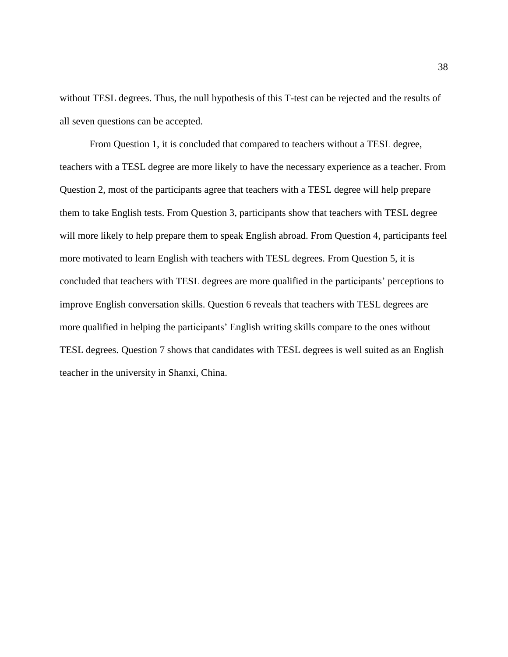without TESL degrees. Thus, the null hypothesis of this T-test can be rejected and the results of all seven questions can be accepted.

<span id="page-38-0"></span>From Question 1, it is concluded that compared to teachers without a TESL degree, teachers with a TESL degree are more likely to have the necessary experience as a teacher. From Question 2, most of the participants agree that teachers with a TESL degree will help prepare them to take English tests. From Question 3, participants show that teachers with TESL degree will more likely to help prepare them to speak English abroad. From Question 4, participants feel more motivated to learn English with teachers with TESL degrees. From Question 5, it is concluded that teachers with TESL degrees are more qualified in the participants' perceptions to improve English conversation skills. Question 6 reveals that teachers with TESL degrees are more qualified in helping the participants' English writing skills compare to the ones without TESL degrees. Question 7 shows that candidates with TESL degrees is well suited as an English teacher in the university in Shanxi, China.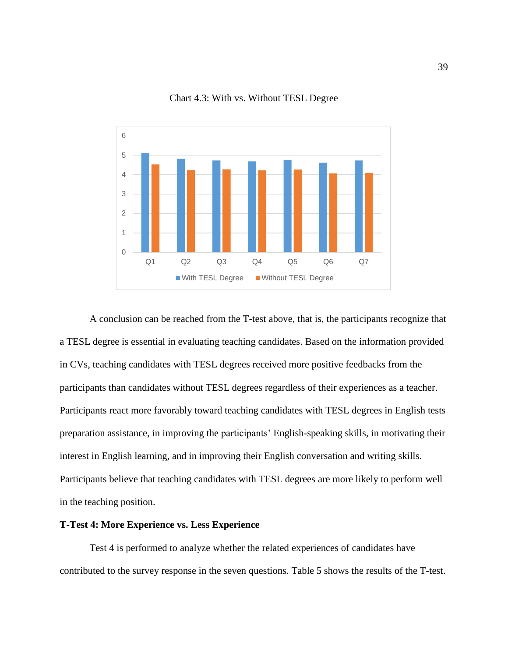

Chart 4.3: With vs. Without TESL Degree

A conclusion can be reached from the T-test above, that is, the participants recognize that a TESL degree is essential in evaluating teaching candidates. Based on the information provided in CVs, teaching candidates with TESL degrees received more positive feedbacks from the participants than candidates without TESL degrees regardless of their experiences as a teacher. Participants react more favorably toward teaching candidates with TESL degrees in English tests preparation assistance, in improving the participants' English-speaking skills, in motivating their interest in English learning, and in improving their English conversation and writing skills. Participants believe that teaching candidates with TESL degrees are more likely to perform well in the teaching position.

### <span id="page-39-0"></span>**T-Test 4: More Experience vs. Less Experience**

Test 4 is performed to analyze whether the related experiences of candidates have contributed to the survey response in the seven questions. Table 5 shows the results of the T-test.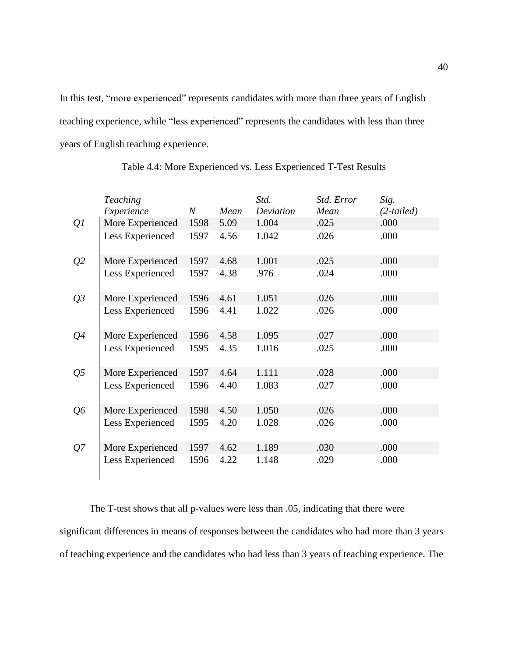In this test, "more experienced" represents candidates with more than three years of English teaching experience, while "less experienced" represents the candidates with less than three years of English teaching experience.

<span id="page-40-0"></span>

|                | <b>Teaching</b>  |                  |      | Std.      | Std. Error | Sig.         |
|----------------|------------------|------------------|------|-----------|------------|--------------|
|                | Experience       | $\boldsymbol{N}$ | Mean | Deviation | Mean       | $(2-tailed)$ |
| Q <sub>1</sub> | More Experienced | 1598             | 5.09 | 1.004     | .025       | .000         |
|                | Less Experienced | 1597             | 4.56 | 1.042     | .026       | .000         |
| Q <sub>2</sub> | More Experienced | 1597             | 4.68 | 1.001     | .025       | .000         |
|                | Less Experienced | 1597             | 4.38 | .976      | .024       | .000         |
| Q3             | More Experienced | 1596             | 4.61 | 1.051     | .026       | .000         |
|                | Less Experienced | 1596             | 4.41 | 1.022     | .026       | .000         |
| Q <sub>4</sub> | More Experienced | 1596             | 4.58 | 1.095     | .027       | .000         |
|                | Less Experienced | 1595             | 4.35 | 1.016     | .025       | .000         |
| Q <sub>5</sub> | More Experienced | 1597             | 4.64 | 1.111     | .028       | .000         |
|                | Less Experienced | 1596             | 4.40 | 1.083     | .027       | .000         |
| Q6             | More Experienced | 1598             | 4.50 | 1.050     | .026       | .000         |
|                | Less Experienced | 1595             | 4.20 | 1.028     | .026       | .000         |
| Q7             | More Experienced | 1597             | 4.62 | 1.189     | .030       | .000         |
|                | Less Experienced | 1596             | 4.22 | 1.148     | .029       | .000         |

Table 4.4: More Experienced vs. Less Experienced T-Test Results

The T-test shows that all p-values were less than .05, indicating that there were significant differences in means of responses between the candidates who had more than 3 years of teaching experience and the candidates who had less than 3 years of teaching experience. The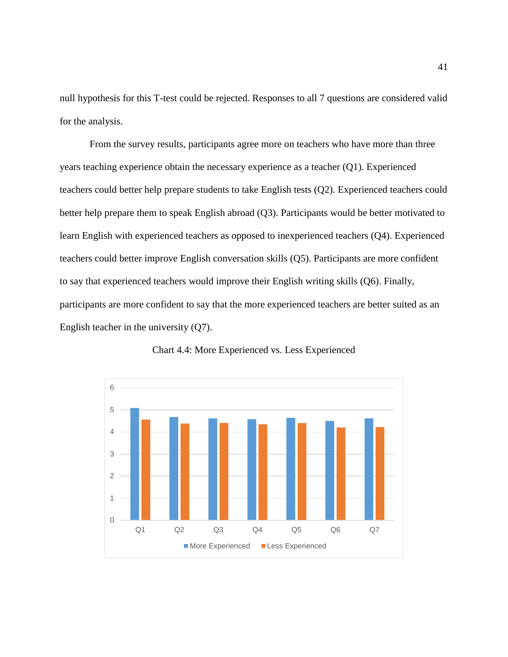null hypothesis for this T-test could be rejected. Responses to all 7 questions are considered valid for the analysis.

From the survey results, participants agree more on teachers who have more than three years teaching experience obtain the necessary experience as a teacher (Q1). Experienced teachers could better help prepare students to take English tests (Q2). Experienced teachers could better help prepare them to speak English abroad (Q3). Participants would be better motivated to learn English with experienced teachers as opposed to inexperienced teachers (Q4). Experienced teachers could better improve English conversation skills (Q5). Participants are more confident to say that experienced teachers would improve their English writing skills (Q6). Finally, participants are more confident to say that the more experienced teachers are better suited as an English teacher in the university (Q7).

<span id="page-41-0"></span>

Chart 4.4: More Experienced vs. Less Experienced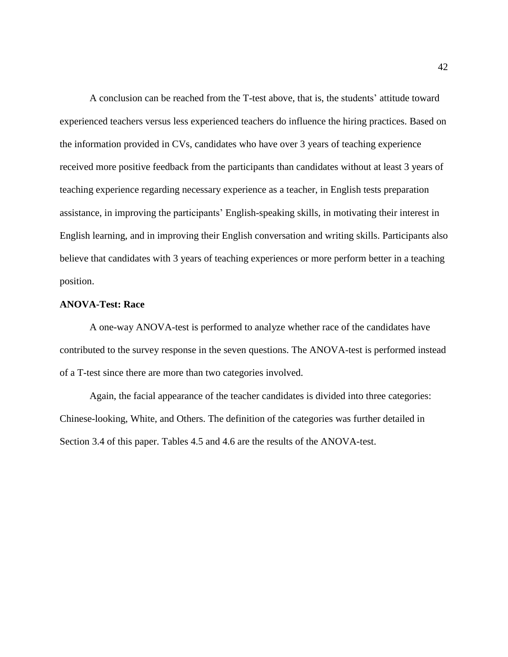A conclusion can be reached from the T-test above, that is, the students' attitude toward experienced teachers versus less experienced teachers do influence the hiring practices. Based on the information provided in CVs, candidates who have over 3 years of teaching experience received more positive feedback from the participants than candidates without at least 3 years of teaching experience regarding necessary experience as a teacher, in English tests preparation assistance, in improving the participants' English-speaking skills, in motivating their interest in English learning, and in improving their English conversation and writing skills. Participants also believe that candidates with 3 years of teaching experiences or more perform better in a teaching position.

### <span id="page-42-0"></span>**ANOVA-Test: Race**

A one-way ANOVA-test is performed to analyze whether race of the candidates have contributed to the survey response in the seven questions. The ANOVA-test is performed instead of a T-test since there are more than two categories involved.

<span id="page-42-1"></span>Again, the facial appearance of the teacher candidates is divided into three categories: Chinese-looking, White, and Others. The definition of the categories was further detailed in Section 3.4 of this paper. Tables 4.5 and 4.6 are the results of the ANOVA-test.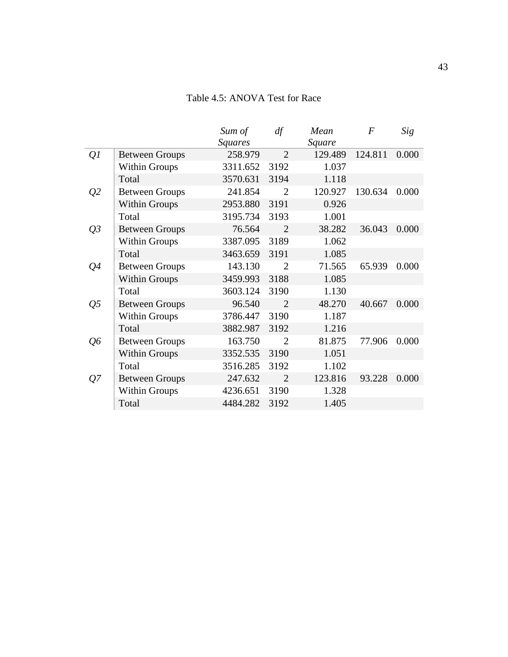# Table 4.5: ANOVA Test for Race

<span id="page-43-0"></span>

|                |                       | Sum of         | df                    | Mean    | F       | Sig   |
|----------------|-----------------------|----------------|-----------------------|---------|---------|-------|
|                |                       | <b>Squares</b> |                       | Square  |         |       |
| Q <sub>I</sub> | <b>Between Groups</b> | 258.979        | $\mathcal{D}_{\cdot}$ | 129.489 | 124.811 | 0.000 |
|                | <b>Within Groups</b>  | 3311.652       | 3192                  | 1.037   |         |       |
|                | Total                 | 3570.631       | 3194                  | 1.118   |         |       |
| Q <sub>2</sub> | <b>Between Groups</b> | 241.854        | $\overline{2}$        | 120.927 | 130.634 | 0.000 |
|                | <b>Within Groups</b>  | 2953.880       | 3191                  | 0.926   |         |       |
|                | Total                 | 3195.734       | 3193                  | 1.001   |         |       |
| $Q_3$          | <b>Between Groups</b> | 76.564         | $\overline{2}$        | 38.282  | 36.043  | 0.000 |
|                | <b>Within Groups</b>  | 3387.095       | 3189                  | 1.062   |         |       |
|                | Total                 | 3463.659       | 3191                  | 1.085   |         |       |
| Q4             | <b>Between Groups</b> | 143.130        | $\overline{2}$        | 71.565  | 65.939  | 0.000 |
|                | <b>Within Groups</b>  | 3459.993       | 3188                  | 1.085   |         |       |
|                | Total                 | 3603.124       | 3190                  | 1.130   |         |       |
| Q <sub>5</sub> | <b>Between Groups</b> | 96.540         | $\overline{2}$        | 48.270  | 40.667  | 0.000 |
|                | <b>Within Groups</b>  | 3786.447       | 3190                  | 1.187   |         |       |
|                | Total                 | 3882.987       | 3192                  | 1.216   |         |       |
| Q6             | <b>Between Groups</b> | 163.750        | $\overline{2}$        | 81.875  | 77.906  | 0.000 |
|                | <b>Within Groups</b>  | 3352.535       | 3190                  | 1.051   |         |       |
|                | Total                 | 3516.285       | 3192                  | 1.102   |         |       |
| Q7             | <b>Between Groups</b> | 247.632        | $\overline{2}$        | 123.816 | 93.228  | 0.000 |
|                | <b>Within Groups</b>  | 4236.651       | 3190                  | 1.328   |         |       |
|                | Total                 | 4484.282       | 3192                  | 1.405   |         |       |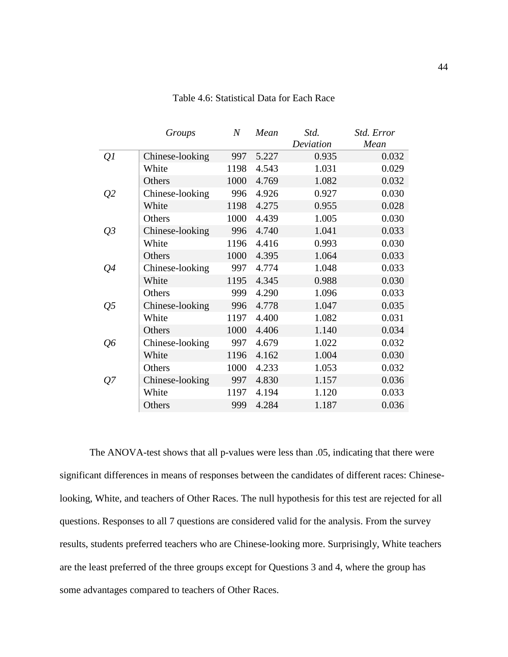|                 | Groups          | $\boldsymbol{N}$ | Mean  | Std.      | Std. Error |
|-----------------|-----------------|------------------|-------|-----------|------------|
|                 |                 |                  |       | Deviation | Mean       |
| Q <sub>1</sub>  | Chinese-looking | 997              | 5.227 | 0.935     | 0.032      |
|                 | White           | 1198             | 4.543 | 1.031     | 0.029      |
|                 | Others          | 1000             | 4.769 | 1.082     | 0.032      |
| $\mathcal{Q}^2$ | Chinese-looking | 996              | 4.926 | 0.927     | 0.030      |
|                 | White           | 1198             | 4.275 | 0.955     | 0.028      |
|                 | Others          | 1000             | 4.439 | 1.005     | 0.030      |
| $Q_3$           | Chinese-looking | 996              | 4.740 | 1.041     | 0.033      |
|                 | White           | 1196             | 4.416 | 0.993     | 0.030      |
|                 | Others          | 1000             | 4.395 | 1.064     | 0.033      |
| Q <sub>4</sub>  | Chinese-looking | 997              | 4.774 | 1.048     | 0.033      |
|                 | White           | 1195             | 4.345 | 0.988     | 0.030      |
|                 | Others          | 999              | 4.290 | 1.096     | 0.033      |
| Q <sub>5</sub>  | Chinese-looking | 996              | 4.778 | 1.047     | 0.035      |
|                 | White           | 1197             | 4.400 | 1.082     | 0.031      |
|                 | Others          | 1000             | 4.406 | 1.140     | 0.034      |
| Q6              | Chinese-looking | 997              | 4.679 | 1.022     | 0.032      |
|                 | White           | 1196             | 4.162 | 1.004     | 0.030      |
|                 | Others          | 1000             | 4.233 | 1.053     | 0.032      |
| Q7              | Chinese-looking | 997              | 4.830 | 1.157     | 0.036      |
|                 | White           | 1197             | 4.194 | 1.120     | 0.033      |
|                 | Others          | 999              | 4.284 | 1.187     | 0.036      |

Table 4.6: Statistical Data for Each Race

The ANOVA-test shows that all p-values were less than .05, indicating that there were significant differences in means of responses between the candidates of different races: Chineselooking, White, and teachers of Other Races. The null hypothesis for this test are rejected for all questions. Responses to all 7 questions are considered valid for the analysis. From the survey results, students preferred teachers who are Chinese-looking more. Surprisingly, White teachers are the least preferred of the three groups except for Questions 3 and 4, where the group has some advantages compared to teachers of Other Races.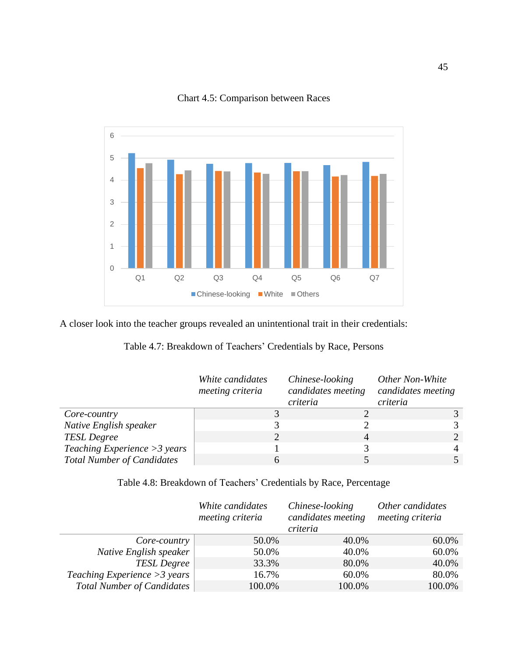<span id="page-45-2"></span>

Chart 4.5: Comparison between Races

<span id="page-45-0"></span>A closer look into the teacher groups revealed an unintentional trait in their credentials:

| Table 4.7: Breakdown of Teachers' Credentials by Race, Persons |  |  |
|----------------------------------------------------------------|--|--|
|----------------------------------------------------------------|--|--|

|                                   | White candidates<br>meeting criteria | Chinese-looking<br>candidates meeting<br>criteria | Other Non-White<br>candidates meeting<br>criteria |
|-----------------------------------|--------------------------------------|---------------------------------------------------|---------------------------------------------------|
| Core-country                      |                                      |                                                   |                                                   |
| Native English speaker            |                                      |                                                   |                                                   |
| <b>TESL Degree</b>                |                                      | 4                                                 |                                                   |
| Teaching Experience $>3$ years    |                                      |                                                   |                                                   |
| <b>Total Number of Candidates</b> |                                      |                                                   |                                                   |

Table 4.8: Breakdown of Teachers' Credentials by Race, Percentage

<span id="page-45-1"></span>

|                                   | White candidates<br>meeting criteria | Other candidates<br>meeting criteria |        |
|-----------------------------------|--------------------------------------|--------------------------------------|--------|
| Core-country                      | 50.0%                                | 40.0%                                | 60.0%  |
| Native English speaker            | 50.0%                                | 40.0%                                | 60.0%  |
| <b>TESL Degree</b>                | 33.3%                                | 80.0%                                | 40.0%  |
| Teaching Experience $>3$ years    | 16.7%                                | 60.0%                                | 80.0%  |
| <b>Total Number of Candidates</b> | 100.0%                               | 100.0%                               | 100.0% |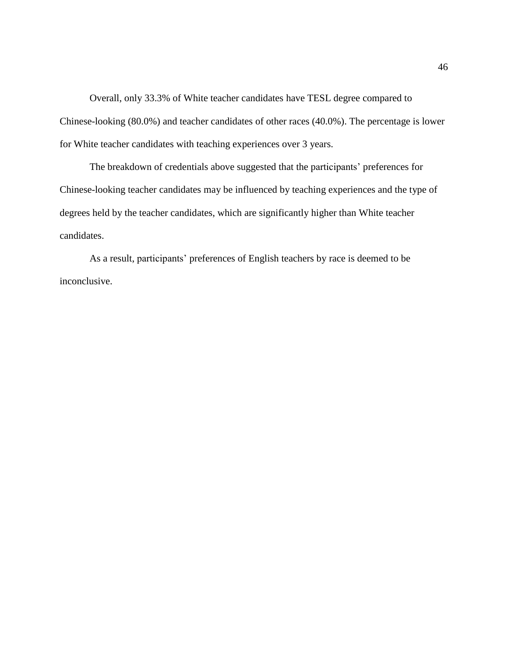Overall, only 33.3% of White teacher candidates have TESL degree compared to Chinese-looking (80.0%) and teacher candidates of other races (40.0%). The percentage is lower for White teacher candidates with teaching experiences over 3 years.

The breakdown of credentials above suggested that the participants' preferences for Chinese-looking teacher candidates may be influenced by teaching experiences and the type of degrees held by the teacher candidates, which are significantly higher than White teacher candidates.

As a result, participants' preferences of English teachers by race is deemed to be inconclusive.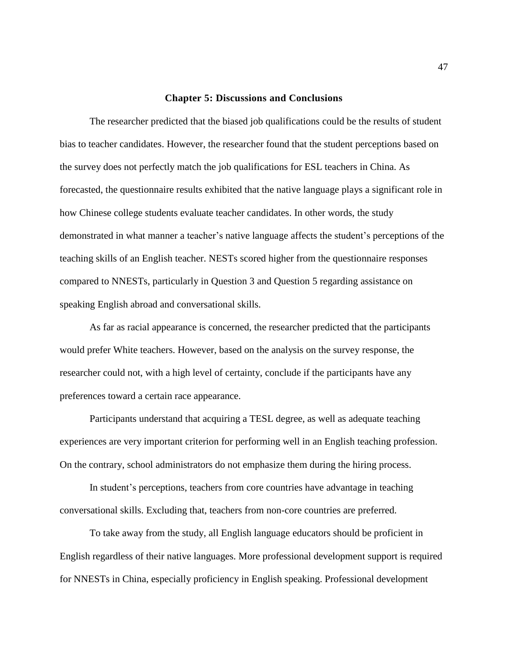#### **Chapter 5: Discussions and Conclusions**

<span id="page-47-0"></span>The researcher predicted that the biased job qualifications could be the results of student bias to teacher candidates. However, the researcher found that the student perceptions based on the survey does not perfectly match the job qualifications for ESL teachers in China. As forecasted, the questionnaire results exhibited that the native language plays a significant role in how Chinese college students evaluate teacher candidates. In other words, the study demonstrated in what manner a teacher's native language affects the student's perceptions of the teaching skills of an English teacher. NESTs scored higher from the questionnaire responses compared to NNESTs, particularly in Question 3 and Question 5 regarding assistance on speaking English abroad and conversational skills.

As far as racial appearance is concerned, the researcher predicted that the participants would prefer White teachers. However, based on the analysis on the survey response, the researcher could not, with a high level of certainty, conclude if the participants have any preferences toward a certain race appearance.

Participants understand that acquiring a TESL degree, as well as adequate teaching experiences are very important criterion for performing well in an English teaching profession. On the contrary, school administrators do not emphasize them during the hiring process.

In student's perceptions, teachers from core countries have advantage in teaching conversational skills. Excluding that, teachers from non-core countries are preferred.

To take away from the study, all English language educators should be proficient in English regardless of their native languages. More professional development support is required for NNESTs in China, especially proficiency in English speaking. Professional development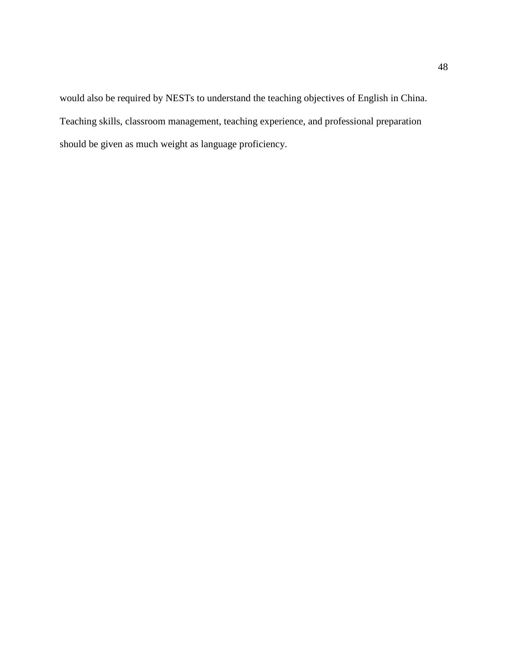would also be required by NESTs to understand the teaching objectives of English in China. Teaching skills, classroom management, teaching experience, and professional preparation should be given as much weight as language proficiency.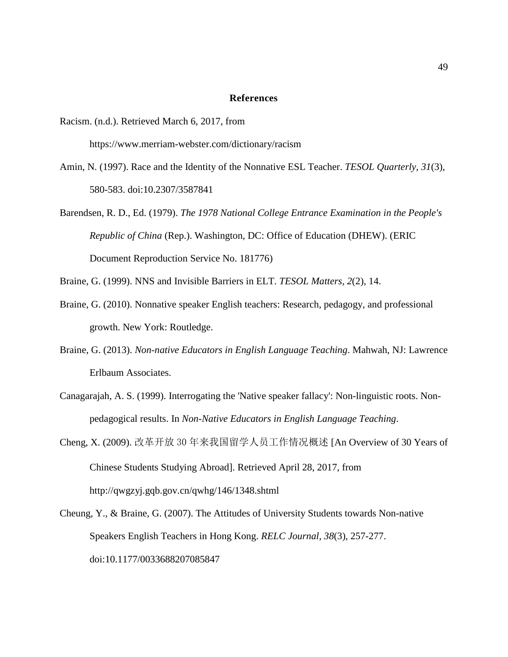#### **References**

<span id="page-49-0"></span>Racism. (n.d.). Retrieved March 6, 2017, from

https://www.merriam-webster.com/dictionary/racism

- Amin, N. (1997). Race and the Identity of the Nonnative ESL Teacher. *TESOL Quarterly, 31*(3), 580-583. doi:10.2307/3587841
- Barendsen, R. D., Ed. (1979). *The 1978 National College Entrance Examination in the People's Republic of China* (Rep.). Washington, DC: Office of Education (DHEW). (ERIC Document Reproduction Service No. 181776)
- Braine, G. (1999). NNS and Invisible Barriers in ELT. *TESOL Matters, 2*(2), 14.
- Braine, G. (2010). Nonnative speaker English teachers: Research, pedagogy, and professional growth. New York: Routledge.
- Braine, G. (2013). *Non-native Educators in English Language Teaching*. Mahwah, NJ: Lawrence Erlbaum Associates.
- Canagarajah, A. S. (1999). Interrogating the 'Native speaker fallacy': Non-linguistic roots. Nonpedagogical results. In *Non-Native Educators in English Language Teaching*.
- Cheng, X. (2009). 改革开放 30 年来我国留学人员工作情况概述 [An Overview of 30 Years of Chinese Students Studying Abroad]. Retrieved April 28, 2017, from <http://qwgzyj.gqb.gov.cn/qwhg/146/1348.shtml>
- Cheung, Y., & Braine, G. (2007). The Attitudes of University Students towards Non-native Speakers English Teachers in Hong Kong. *RELC Journal, 38*(3), 257-277. doi:10.1177/0033688207085847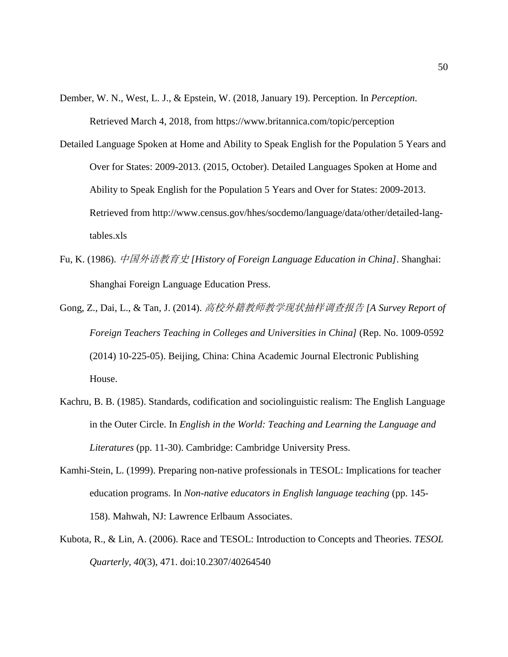- Dember, W. N., West, L. J., & Epstein, W. (2018, January 19). Perception. In *Perception*. Retrieved March 4, 2018, from https://www.britannica.com/topic/perception
- Detailed Language Spoken at Home and Ability to Speak English for the Population 5 Years and Over for States: 2009-2013. (2015, October). Detailed Languages Spoken at Home and Ability to Speak English for the Population 5 Years and Over for States: 2009-2013. Retrieved from [http://www.census.gov/hhes/socdemo/language/data/other/detailed-lang](http://www.census.gov/hhes/socdemo/language/data/other/detailed-lang-tables.xls)[tables.xls](http://www.census.gov/hhes/socdemo/language/data/other/detailed-lang-tables.xls)
- Fu, K. (1986). 中国外语教育史 *[History of Foreign Language Education in China]*. Shanghai: Shanghai Foreign Language Education Press.
- Gong, Z., Dai, L., & Tan, J. (2014). 高校外籍教师教学现状抽样调查报告 *[A Survey Report of Foreign Teachers Teaching in Colleges and Universities in China]* (Rep. No. 1009-0592 (2014) 10-225-05). Beijing, China: China Academic Journal Electronic Publishing House.
- Kachru, B. B. (1985). Standards, codification and sociolinguistic realism: The English Language in the Outer Circle. In *English in the World: Teaching and Learning the Language and Literatures* (pp. 11-30). Cambridge: Cambridge University Press.
- Kamhi-Stein, L. (1999). Preparing non-native professionals in TESOL: Implications for teacher education programs. In *Non-native educators in English language teaching* (pp. 145- 158). Mahwah, NJ: Lawrence Erlbaum Associates.
- Kubota, R., & Lin, A. (2006). Race and TESOL: Introduction to Concepts and Theories. *TESOL Quarterly, 40*(3), 471. doi:10.2307/40264540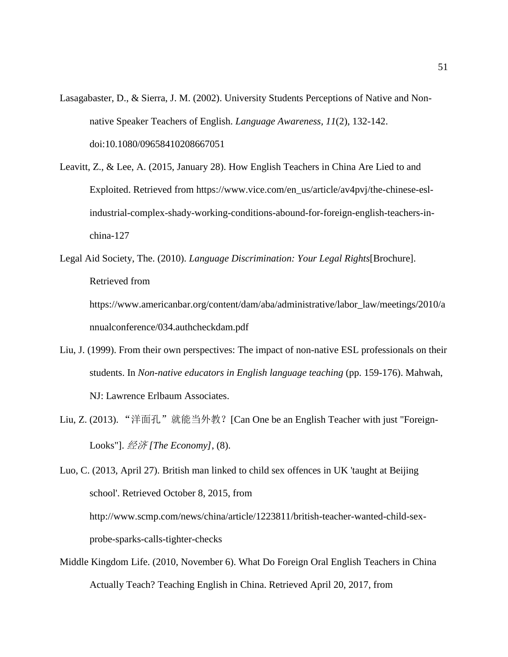- Lasagabaster, D., & Sierra, J. M. (2002). University Students Perceptions of Native and Nonnative Speaker Teachers of English. *Language Awareness, 11*(2), 132-142. doi:10.1080/09658410208667051
- Leavitt, Z., & Lee, A. (2015, January 28). How English Teachers in China Are Lied to and Exploited. Retrieved from https://www.vice.com/en\_us/article/av4pvj/the-chinese-eslindustrial-complex-shady-working-conditions-abound-for-foreign-english-teachers-inchina-127
- Legal Aid Society, The. (2010). *Language Discrimination: Your Legal Rights*[Brochure]. Retrieved from https://www.americanbar.org/content/dam/aba/administrative/labor\_law/meetings/2010/a nnualconference/034.authcheckdam.pdf
- Liu, J. (1999). From their own perspectives: The impact of non-native ESL professionals on their students. In *Non-native educators in English language teaching* (pp. 159-176). Mahwah, NJ: Lawrence Erlbaum Associates.
- Liu, Z. (2013). "洋面孔"就能当外教? [Can One be an English Teacher with just "Foreign-Looks"]. 经济 *[The Economy]*, (8).

Luo, C. (2013, April 27). British man linked to child sex offences in UK 'taught at Beijing school'. Retrieved October 8, 2015, from http://www.scmp.com/news/china/article/1223811/british-teacher-wanted-child-sexprobe-sparks-calls-tighter-checks

Middle Kingdom Life. (2010, November 6). What Do Foreign Oral English Teachers in China Actually Teach? Teaching English in China. Retrieved April 20, 2017, from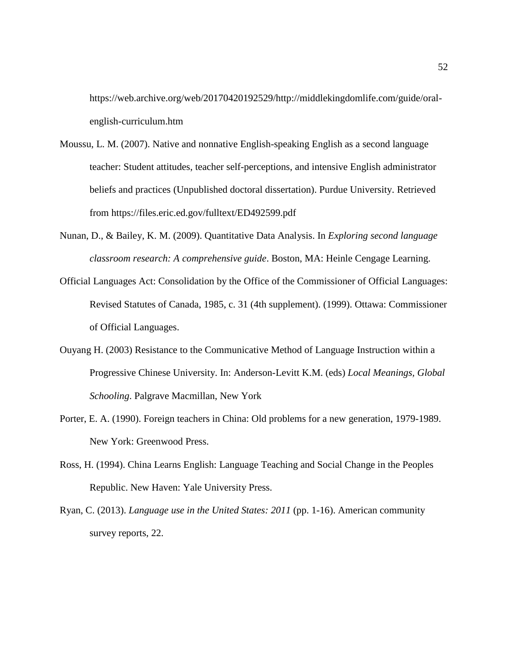[https://web.archive.org/web/20170420192529/http://middlekingdomlife.com/guide/oral](https://web.archive.org/web/20170420192529/http:/middlekingdomlife.com/guide/oral-english-curriculum.htm)[english-curriculum.htm](https://web.archive.org/web/20170420192529/http:/middlekingdomlife.com/guide/oral-english-curriculum.htm)

- Moussu, L. M. (2007). Native and nonnative English-speaking English as a second language teacher: Student attitudes, teacher self-perceptions, and intensive English administrator beliefs and practices (Unpublished doctoral dissertation). Purdue University. Retrieved from <https://files.eric.ed.gov/fulltext/ED492599.pdf>
- Nunan, D., & Bailey, K. M. (2009). Quantitative Data Analysis. In *Exploring second language classroom research: A comprehensive guide*. Boston, MA: Heinle Cengage Learning.
- Official Languages Act: Consolidation by the Office of the Commissioner of Official Languages: Revised Statutes of Canada, 1985, c. 31 (4th supplement). (1999). Ottawa: Commissioner of Official Languages.
- Ouyang H. (2003) Resistance to the Communicative Method of Language Instruction within a Progressive Chinese University. In: Anderson-Levitt K.M. (eds) *Local Meanings, Global Schooling*. Palgrave Macmillan, New York
- Porter, E. A. (1990). Foreign teachers in China: Old problems for a new generation, 1979-1989. New York: Greenwood Press.
- Ross, H. (1994). China Learns English: Language Teaching and Social Change in the Peoples Republic. New Haven: Yale University Press.
- Ryan, C. (2013). *Language use in the United States: 2011* (pp. 1-16). American community survey reports, 22.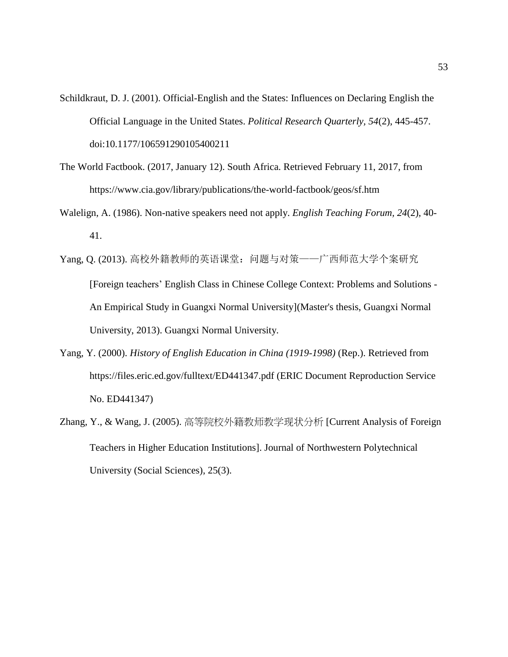- Schildkraut, D. J. (2001). Official-English and the States: Influences on Declaring English the Official Language in the United States. *Political Research Quarterly, 54*(2), 445-457. doi:10.1177/106591290105400211
- The World Factbook. (2017, January 12). South Africa. Retrieved February 11, 2017, from https://www.cia.gov/library/publications/the-world-factbook/geos/sf.htm
- Walelign, A. (1986). Non-native speakers need not apply. *English Teaching Forum, 24*(2), 40- 41.
- Yang, Q. (2013). 高校外籍教师的英语课堂: 问题与对策——广西师范大学个案研究 [Foreign teachers' English Class in Chinese College Context: Problems and Solutions - An Empirical Study in Guangxi Normal University](Master's thesis, Guangxi Normal University, 2013). Guangxi Normal University.
- Yang, Y. (2000). *History of English Education in China (1919-1998)* (Rep.). Retrieved from https://files.eric.ed.gov/fulltext/ED441347.pdf (ERIC Document Reproduction Service No. ED441347)
- Zhang, Y., & Wang, J. (2005). 高等院校外籍教师教学现状分析 [Current Analysis of Foreign Teachers in Higher Education Institutions]. Journal of Northwestern Polytechnical University (Social Sciences), 25(3).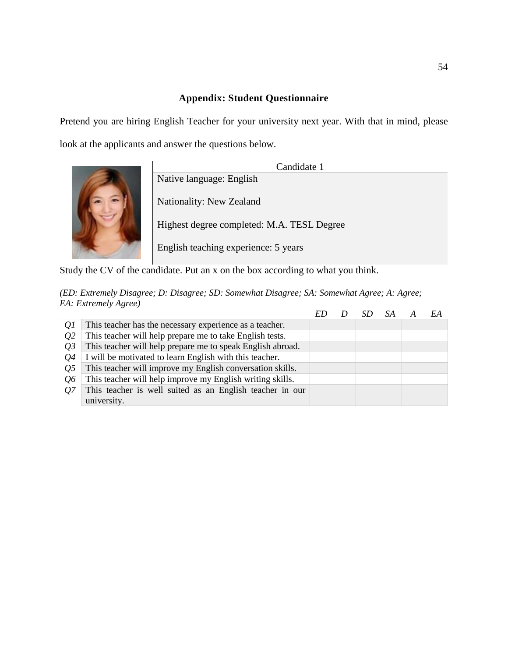## **Appendix: Student Questionnaire**

<span id="page-54-0"></span>Pretend you are hiring English Teacher for your university next year. With that in mind, please look at the applicants and answer the questions below.



Candidate 1 Native language: English Nationality: New Zealand Highest degree completed: M.A. TESL Degree English teaching experience: 5 years

Study the CV of the candidate. Put an x on the box according to what you think.

| Q1         | This teacher has the necessary experience as a teacher.    |  |  |  |
|------------|------------------------------------------------------------|--|--|--|
| 02         | This teacher will help prepare me to take English tests.   |  |  |  |
| 03         | This teacher will help prepare me to speak English abroad. |  |  |  |
| 04         | I will be motivated to learn English with this teacher.    |  |  |  |
| <i>O</i> 5 | This teacher will improve my English conversation skills.  |  |  |  |
| 06         | This teacher will help improve my English writing skills.  |  |  |  |
| 07         | This teacher is well suited as an English teacher in our   |  |  |  |
|            | university.                                                |  |  |  |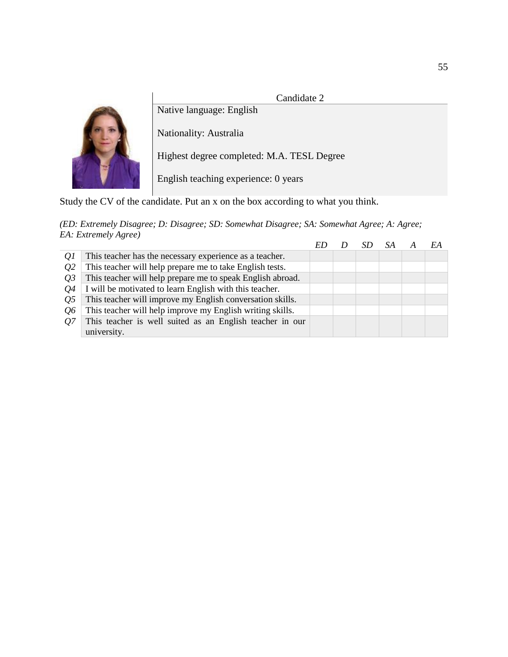



Nationality: Australia

Native language: English

Highest degree completed: M.A. TESL Degree

English teaching experience: 0 years

Study the CV of the candidate. Put an x on the box according to what you think.

|                |                                                            |  |  | EA |
|----------------|------------------------------------------------------------|--|--|----|
| Q1             | This teacher has the necessary experience as a teacher.    |  |  |    |
| Q <sub>2</sub> | This teacher will help prepare me to take English tests.   |  |  |    |
| <i>O</i> 3     | This teacher will help prepare me to speak English abroad. |  |  |    |
| 04             | I will be motivated to learn English with this teacher.    |  |  |    |
| 05             | This teacher will improve my English conversation skills.  |  |  |    |
| 06             | This teacher will help improve my English writing skills.  |  |  |    |
| 07             | This teacher is well suited as an English teacher in our   |  |  |    |
|                | university.                                                |  |  |    |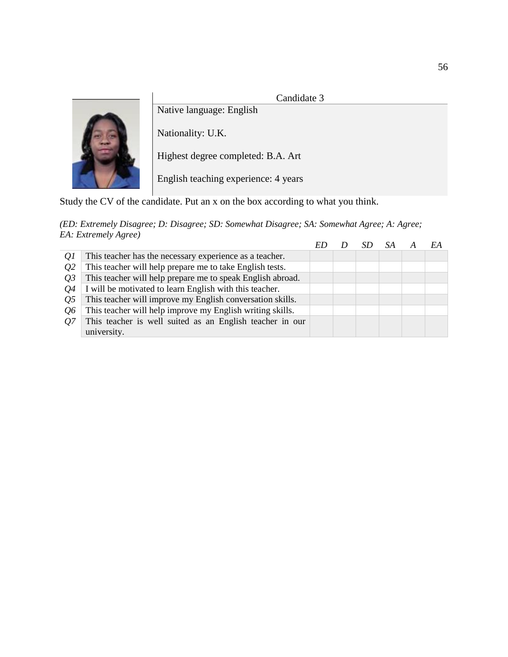# Candidate 3



Native language: English Nationality: U.K.

Highest degree completed: B.A. Art

English teaching experience: 4 years

Study the CV of the candidate. Put an x on the box according to what you think.

|                |                                                            |  |  | EA |
|----------------|------------------------------------------------------------|--|--|----|
| Q1             | This teacher has the necessary experience as a teacher.    |  |  |    |
| Q <sub>2</sub> | This teacher will help prepare me to take English tests.   |  |  |    |
| <i>O</i> 3     | This teacher will help prepare me to speak English abroad. |  |  |    |
| 04             | I will be motivated to learn English with this teacher.    |  |  |    |
| 05             | This teacher will improve my English conversation skills.  |  |  |    |
| 06             | This teacher will help improve my English writing skills.  |  |  |    |
| 07             | This teacher is well suited as an English teacher in our   |  |  |    |
|                | university.                                                |  |  |    |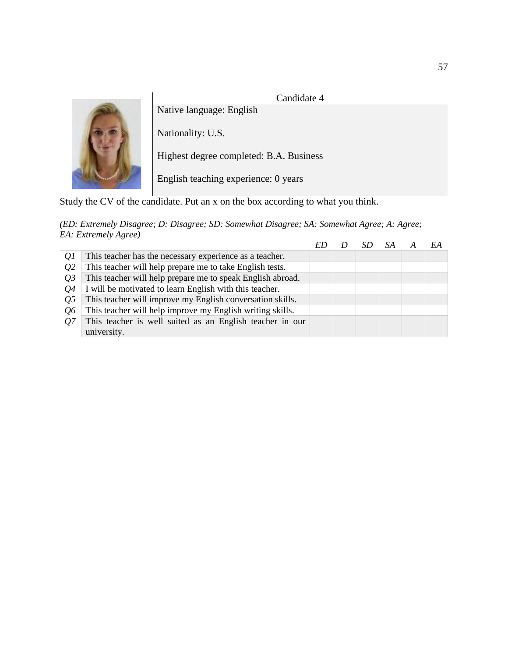# Candidate 4



Native language: English

Nationality: U.S.

Highest degree completed: B.A. Business

English teaching experience: 0 years

Study the CV of the candidate. Put an x on the box according to what you think.

|                |                                                            |  |  | EA |
|----------------|------------------------------------------------------------|--|--|----|
| Q1             | This teacher has the necessary experience as a teacher.    |  |  |    |
| Q <sub>2</sub> | This teacher will help prepare me to take English tests.   |  |  |    |
| <i>O</i> 3     | This teacher will help prepare me to speak English abroad. |  |  |    |
| 04             | I will be motivated to learn English with this teacher.    |  |  |    |
| 05             | This teacher will improve my English conversation skills.  |  |  |    |
| 06             | This teacher will help improve my English writing skills.  |  |  |    |
| 07             | This teacher is well suited as an English teacher in our   |  |  |    |
|                | university.                                                |  |  |    |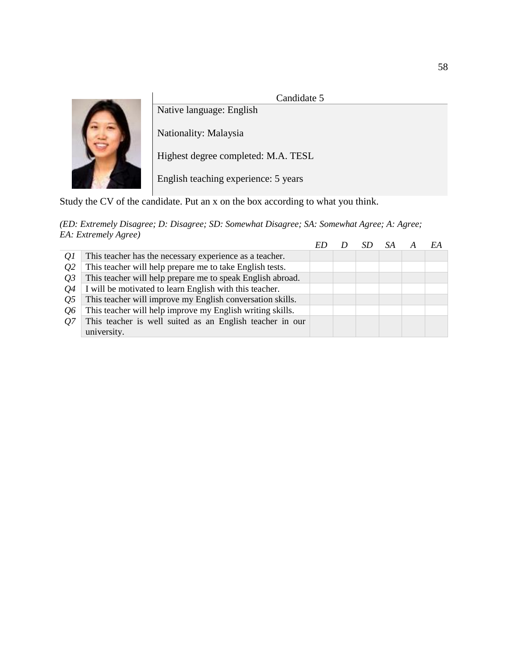

|            |                                                            |  |  | EA |
|------------|------------------------------------------------------------|--|--|----|
| Q1         | This teacher has the necessary experience as a teacher.    |  |  |    |
| <i>O</i> 2 | This teacher will help prepare me to take English tests.   |  |  |    |
| 03         | This teacher will help prepare me to speak English abroad. |  |  |    |
| 04         | I will be motivated to learn English with this teacher.    |  |  |    |
| 05         | This teacher will improve my English conversation skills.  |  |  |    |
| 06         | This teacher will help improve my English writing skills.  |  |  |    |
| 07         | This teacher is well suited as an English teacher in our   |  |  |    |
|            | university.                                                |  |  |    |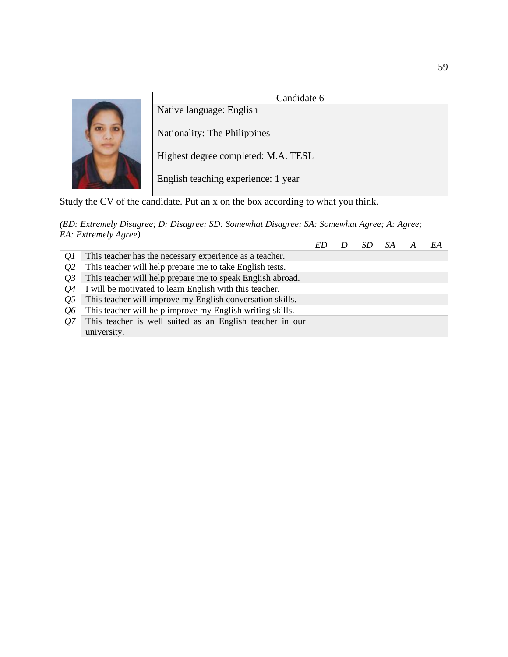

| Q1         | This teacher has the necessary experience as a teacher.    |  |  |  |
|------------|------------------------------------------------------------|--|--|--|
| <i>O</i> 2 | This teacher will help prepare me to take English tests.   |  |  |  |
| 03         | This teacher will help prepare me to speak English abroad. |  |  |  |
| 04         | I will be motivated to learn English with this teacher.    |  |  |  |
| <i>O</i> 5 | This teacher will improve my English conversation skills.  |  |  |  |
| 06         | This teacher will help improve my English writing skills.  |  |  |  |
| 07         | This teacher is well suited as an English teacher in our   |  |  |  |
|            | university.                                                |  |  |  |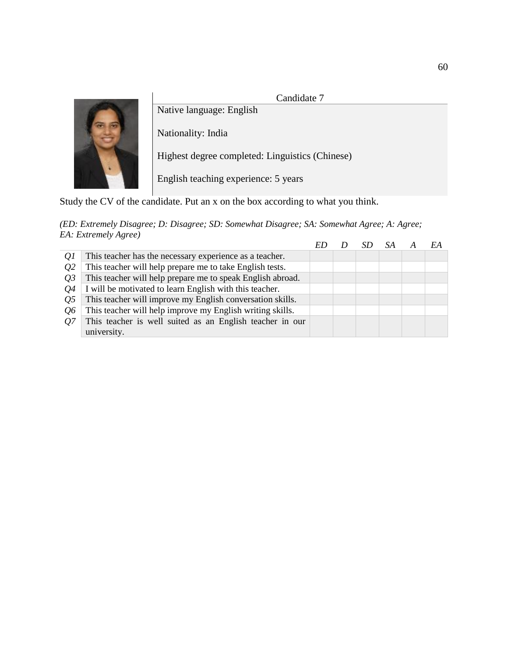

| Q1         | This teacher has the necessary experience as a teacher.    |  |  |  |
|------------|------------------------------------------------------------|--|--|--|
| <i>O</i> 2 | This teacher will help prepare me to take English tests.   |  |  |  |
| 03         | This teacher will help prepare me to speak English abroad. |  |  |  |
| 04         | I will be motivated to learn English with this teacher.    |  |  |  |
| <i>O</i> 5 | This teacher will improve my English conversation skills.  |  |  |  |
| 06         | This teacher will help improve my English writing skills.  |  |  |  |
| 07         | This teacher is well suited as an English teacher in our   |  |  |  |
|            | university.                                                |  |  |  |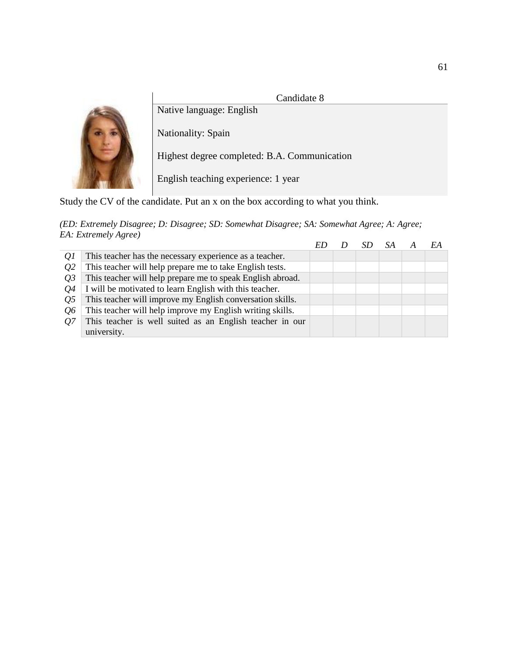

|            |                                                            |  |  | F.A |
|------------|------------------------------------------------------------|--|--|-----|
| Q1         | This teacher has the necessary experience as a teacher.    |  |  |     |
| <i>O</i> 2 | This teacher will help prepare me to take English tests.   |  |  |     |
| 03         | This teacher will help prepare me to speak English abroad. |  |  |     |
| 04         | I will be motivated to learn English with this teacher.    |  |  |     |
| 05         | This teacher will improve my English conversation skills.  |  |  |     |
| <i>Q</i> 6 | This teacher will help improve my English writing skills.  |  |  |     |
| 07         | This teacher is well suited as an English teacher in our   |  |  |     |
|            | university.                                                |  |  |     |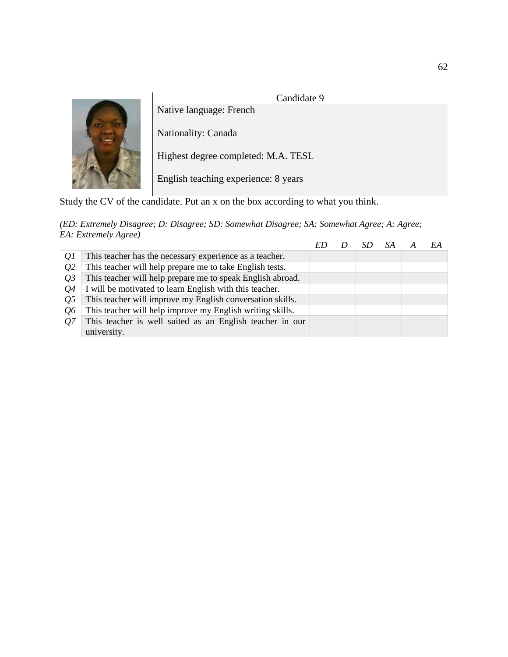# Candidate 9



Native language: French Nationality: Canada Highest degree completed: M.A. TESL English teaching experience: 8 years

Study the CV of the candidate. Put an x on the box according to what you think.

|                |                                                            |  |  | EA |
|----------------|------------------------------------------------------------|--|--|----|
| Q1             | This teacher has the necessary experience as a teacher.    |  |  |    |
| Q <sub>2</sub> | This teacher will help prepare me to take English tests.   |  |  |    |
| <i>O</i> 3     | This teacher will help prepare me to speak English abroad. |  |  |    |
| 04             | I will be motivated to learn English with this teacher.    |  |  |    |
| 05             | This teacher will improve my English conversation skills.  |  |  |    |
| 06             | This teacher will help improve my English writing skills.  |  |  |    |
| 07             | This teacher is well suited as an English teacher in our   |  |  |    |
|                | university.                                                |  |  |    |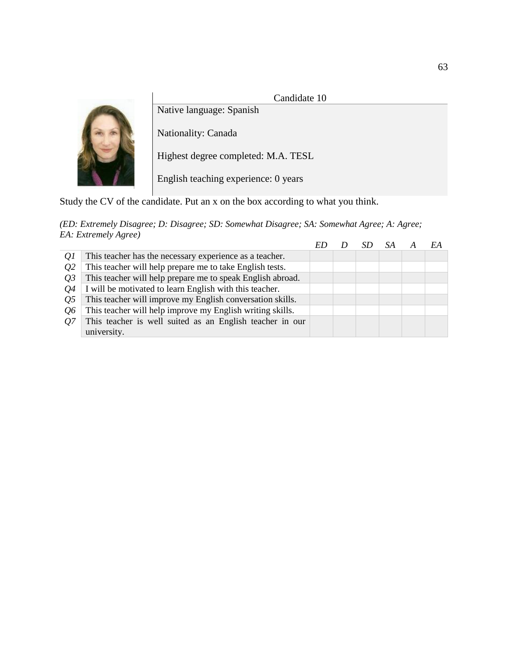

| Q1         | This teacher has the necessary experience as a teacher.    |  |  |  |
|------------|------------------------------------------------------------|--|--|--|
| <i>O</i> 2 | This teacher will help prepare me to take English tests.   |  |  |  |
| 03         | This teacher will help prepare me to speak English abroad. |  |  |  |
| 04         | I will be motivated to learn English with this teacher.    |  |  |  |
| <i>O</i> 5 | This teacher will improve my English conversation skills.  |  |  |  |
| 06         | This teacher will help improve my English writing skills.  |  |  |  |
| 07         | This teacher is well suited as an English teacher in our   |  |  |  |
|            | university.                                                |  |  |  |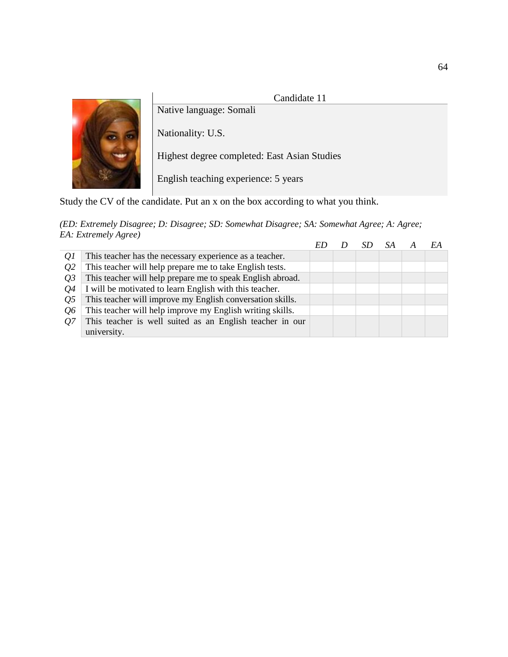# Candidate 11



Native language: Somali

Nationality: U.S.

Highest degree completed: East Asian Studies

English teaching experience: 5 years

Study the CV of the candidate. Put an x on the box according to what you think.

|            |                                                            |  |  | EA |
|------------|------------------------------------------------------------|--|--|----|
| Q1         | This teacher has the necessary experience as a teacher.    |  |  |    |
| <i>O</i> 2 | This teacher will help prepare me to take English tests.   |  |  |    |
| 03         | This teacher will help prepare me to speak English abroad. |  |  |    |
| 04         | I will be motivated to learn English with this teacher.    |  |  |    |
| 05         | This teacher will improve my English conversation skills.  |  |  |    |
| 06         | This teacher will help improve my English writing skills.  |  |  |    |
| 07         | This teacher is well suited as an English teacher in our   |  |  |    |
|            | university.                                                |  |  |    |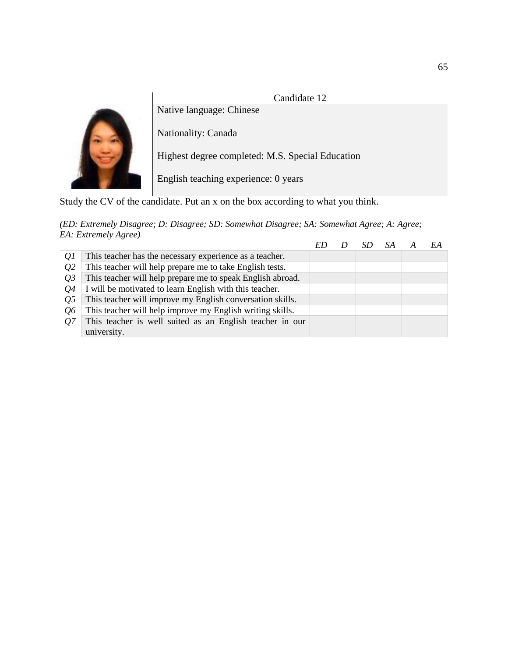

|            |                                                            |  |  | EA |
|------------|------------------------------------------------------------|--|--|----|
| Q1         | This teacher has the necessary experience as a teacher.    |  |  |    |
| <i>O</i> 2 | This teacher will help prepare me to take English tests.   |  |  |    |
| 03         | This teacher will help prepare me to speak English abroad. |  |  |    |
| 04         | I will be motivated to learn English with this teacher.    |  |  |    |
| 05         | This teacher will improve my English conversation skills.  |  |  |    |
| 06         | This teacher will help improve my English writing skills.  |  |  |    |
| 07         | This teacher is well suited as an English teacher in our   |  |  |    |
|            | university.                                                |  |  |    |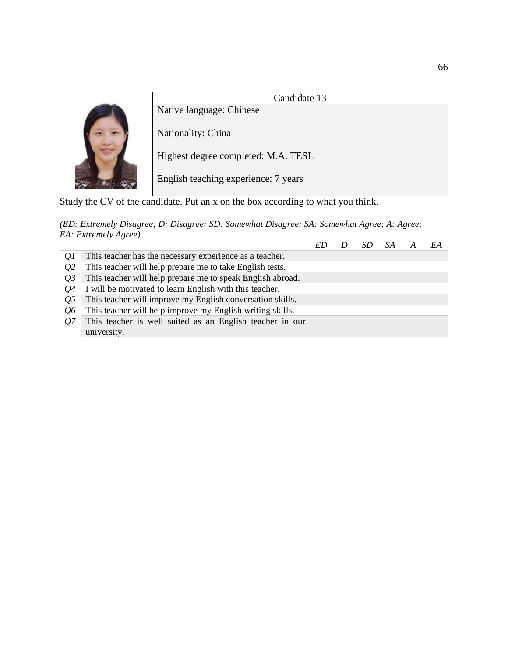

| Q1         | This teacher has the necessary experience as a teacher.    |  |  |  |
|------------|------------------------------------------------------------|--|--|--|
| <i>O</i> 2 | This teacher will help prepare me to take English tests.   |  |  |  |
| 03         | This teacher will help prepare me to speak English abroad. |  |  |  |
| 04         | I will be motivated to learn English with this teacher.    |  |  |  |
| <i>O</i> 5 | This teacher will improve my English conversation skills.  |  |  |  |
| 06         | This teacher will help improve my English writing skills.  |  |  |  |
| 07         | This teacher is well suited as an English teacher in our   |  |  |  |
|            | university.                                                |  |  |  |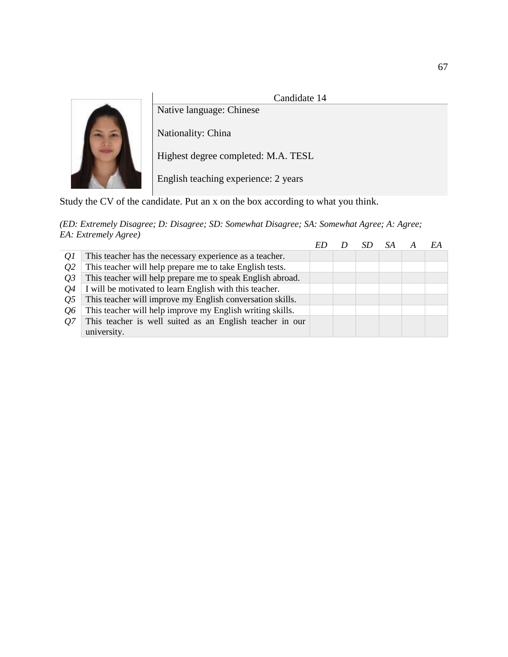

Candidate 14

Nationality: China Highest degree completed: M.A. TESL English teaching experience: 2 years

Study the CV of the candidate. Put an x on the box according to what you think.

|            |                                                            |  |  | F.A |
|------------|------------------------------------------------------------|--|--|-----|
| Q1         | This teacher has the necessary experience as a teacher.    |  |  |     |
| <i>O</i> 2 | This teacher will help prepare me to take English tests.   |  |  |     |
| 03         | This teacher will help prepare me to speak English abroad. |  |  |     |
| 04         | I will be motivated to learn English with this teacher.    |  |  |     |
| 05         | This teacher will improve my English conversation skills.  |  |  |     |
| <i>Q</i> 6 | This teacher will help improve my English writing skills.  |  |  |     |
| 07         | This teacher is well suited as an English teacher in our   |  |  |     |
|            | university.                                                |  |  |     |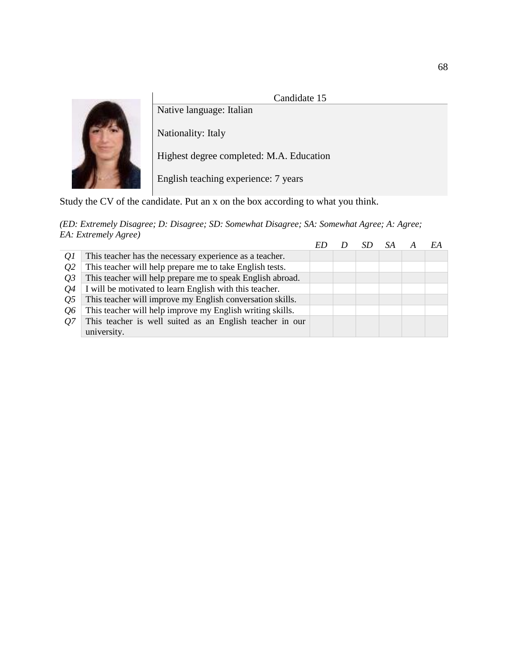

Candidate 15

Nationality: Italy

Native language: Italian

Highest degree completed: M.A. Education

English teaching experience: 7 years

Study the CV of the candidate. Put an x on the box according to what you think.

|                |                                                            |  |  | EA |
|----------------|------------------------------------------------------------|--|--|----|
| Q1             | This teacher has the necessary experience as a teacher.    |  |  |    |
| Q <sub>2</sub> | This teacher will help prepare me to take English tests.   |  |  |    |
| <i>O</i> 3     | This teacher will help prepare me to speak English abroad. |  |  |    |
| 04             | I will be motivated to learn English with this teacher.    |  |  |    |
| 05             | This teacher will improve my English conversation skills.  |  |  |    |
| 06             | This teacher will help improve my English writing skills.  |  |  |    |
| 07             | This teacher is well suited as an English teacher in our   |  |  |    |
|                | university.                                                |  |  |    |